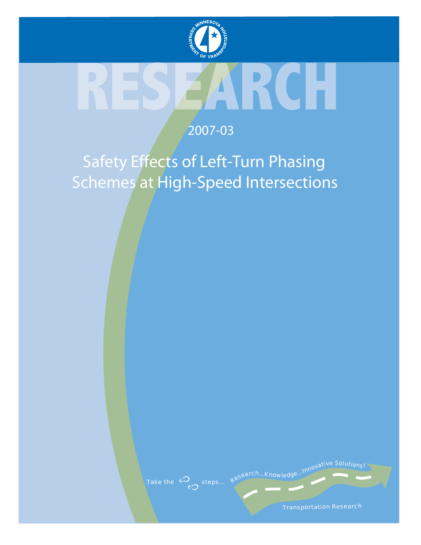

## 2007-03

# Safety Effects of Left-Turn Phasing Schemes at High-Speed Intersections

Take the  $\omega$  steps... Research...Knowledge...Innovative Solutions!

Transportation Research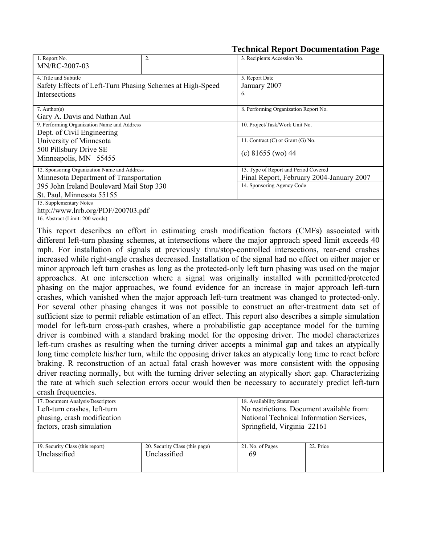|  |  | <b>Technical Report Documentation Page</b> |  |
|--|--|--------------------------------------------|--|
|--|--|--------------------------------------------|--|

| 1. Report No.                                             | 2. | 3. Recipients Accession No.              |  |  |
|-----------------------------------------------------------|----|------------------------------------------|--|--|
| MN/RC-2007-03                                             |    |                                          |  |  |
| 4. Title and Subtitle                                     |    | 5. Report Date                           |  |  |
| Safety Effects of Left-Turn Phasing Schemes at High-Speed |    | January 2007                             |  |  |
| Intersections                                             |    | 6.                                       |  |  |
|                                                           |    |                                          |  |  |
| $7.$ Author(s)                                            |    | 8. Performing Organization Report No.    |  |  |
| Gary A. Davis and Nathan Aul                              |    |                                          |  |  |
| 9. Performing Organization Name and Address               |    | 10. Project/Task/Work Unit No.           |  |  |
| Dept. of Civil Engineering                                |    |                                          |  |  |
| University of Minnesota                                   |    | 11. Contract $(C)$ or Grant $(G)$ No.    |  |  |
| 500 Pillsbury Drive SE                                    |    | (c) $81655$ (wo) 44                      |  |  |
| Minneapolis, MN 55455                                     |    |                                          |  |  |
| 12. Sponsoring Organization Name and Address              |    | 13. Type of Report and Period Covered    |  |  |
| Minnesota Department of Transportation                    |    | Final Report, February 2004-January 2007 |  |  |
| 395 John Ireland Boulevard Mail Stop 330                  |    | 14. Sponsoring Agency Code               |  |  |
| St. Paul, Minnesota 55155                                 |    |                                          |  |  |
| 15. Supplementary Notes                                   |    |                                          |  |  |
| http://www.lrrb.org/PDF/200703.pdf                        |    |                                          |  |  |

16. Abstract (Limit: 200 words)

This report describes an effort in estimating crash modification factors (CMFs) associated with different left-turn phasing schemes, at intersections where the major approach speed limit exceeds 40 mph. For installation of signals at previously thru/stop-controlled intersections, rear-end crashes increased while right-angle crashes decreased. Installation of the signal had no effect on either major or minor approach left turn crashes as long as the protected-only left turn phasing was used on the major approaches. At one intersection where a signal was originally installed with permitted/protected phasing on the major approaches, we found evidence for an increase in major approach left-turn crashes, which vanished when the major approach left-turn treatment was changed to protected-only. For several other phasing changes it was not possible to construct an after-treatment data set of sufficient size to permit reliable estimation of an effect. This report also describes a simple simulation model for left-turn cross-path crashes, where a probabilistic gap acceptance model for the turning driver is combined with a standard braking model for the opposing driver. The model characterizes left-turn crashes as resulting when the turning driver accepts a minimal gap and takes an atypically long time complete his/her turn, while the opposing driver takes an atypically long time to react before braking. R reconstruction of an actual fatal crash however was more consistent with the opposing driver reacting normally, but with the turning driver selecting an atypically short gap. Characterizing the rate at which such selection errors occur would then be necessary to accurately predict left-turn crash frequencies.

| 17. Document Analysis/Descriptors |                                | 18. Availability Statement                |           |  |
|-----------------------------------|--------------------------------|-------------------------------------------|-----------|--|
| Left-turn crashes, left-turn      |                                | No restrictions. Document available from: |           |  |
| phasing, crash modification       |                                | National Technical Information Services,  |           |  |
| factors, crash simulation         |                                | Springfield, Virginia 22161               |           |  |
|                                   |                                |                                           |           |  |
| 19. Security Class (this report)  | 20. Security Class (this page) | 21. No. of Pages                          | 22. Price |  |
| Unclassified                      | Unclassified                   | 69                                        |           |  |
|                                   |                                |                                           |           |  |
|                                   |                                |                                           |           |  |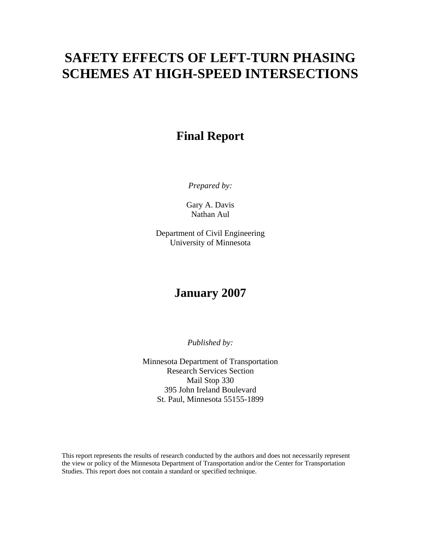# **SAFETY EFFECTS OF LEFT-TURN PHASING SCHEMES AT HIGH-SPEED INTERSECTIONS**

### **Final Report**

*Prepared by:* 

Gary A. Davis Nathan Aul

Department of Civil Engineering University of Minnesota

### **January 2007**

*Published by:* 

Minnesota Department of Transportation Research Services Section Mail Stop 330 395 John Ireland Boulevard St. Paul, Minnesota 55155-1899

This report represents the results of research conducted by the authors and does not necessarily represent the view or policy of the Minnesota Department of Transportation and/or the Center for Transportation Studies. This report does not contain a standard or specified technique.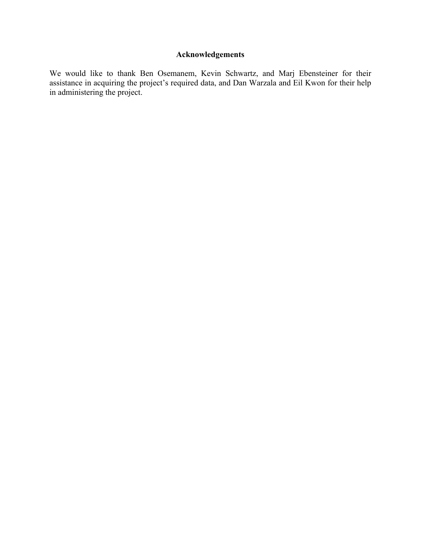#### **Acknowledgements**

We would like to thank Ben Osemanem, Kevin Schwartz, and Marj Ebensteiner for their assistance in acquiring the project's required data, and Dan Warzala and Eil Kwon for their help in administering the project.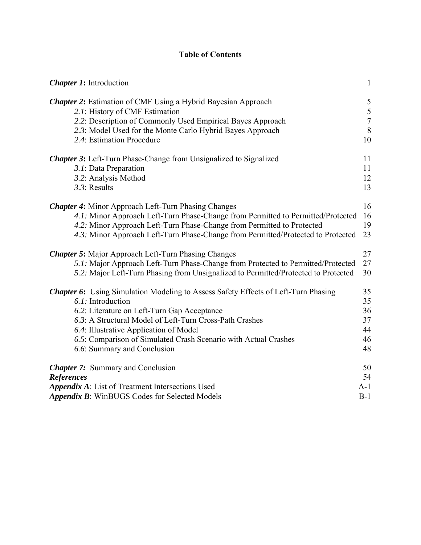### **Table of Contents**

| <b>Chapter 1:</b> Introduction                                                                                                                                                                                                                                                                                                                                       | $\mathbf{1}$                               |
|----------------------------------------------------------------------------------------------------------------------------------------------------------------------------------------------------------------------------------------------------------------------------------------------------------------------------------------------------------------------|--------------------------------------------|
| <b>Chapter 2:</b> Estimation of CMF Using a Hybrid Bayesian Approach<br>2.1: History of CMF Estimation<br>2.2: Description of Commonly Used Empirical Bayes Approach<br>2.3: Model Used for the Monte Carlo Hybrid Bayes Approach<br>2.4: Estimation Procedure                                                                                                       | $\frac{5}{5}$<br>$\overline{7}$<br>8<br>10 |
| <b>Chapter 3:</b> Left-Turn Phase-Change from Unsignalized to Signalized<br>3.1: Data Preparation<br>3.2: Analysis Method<br>3.3: Results                                                                                                                                                                                                                            | 11<br>11<br>12<br>13                       |
| <b>Chapter 4:</b> Minor Approach Left-Turn Phasing Changes<br>4.1: Minor Approach Left-Turn Phase-Change from Permitted to Permitted/Protected<br>4.2: Minor Approach Left-Turn Phase-Change from Permitted to Protected<br>4.3: Minor Approach Left-Turn Phase-Change from Permitted/Protected to Protected                                                         | 16<br>16<br>19<br>23                       |
| <b>Chapter 5:</b> Major Approach Left-Turn Phasing Changes                                                                                                                                                                                                                                                                                                           | 27                                         |
| 5.1: Major Approach Left-Turn Phase-Change from Protected to Permitted/Protected                                                                                                                                                                                                                                                                                     | 27                                         |
| 5.2: Major Left-Turn Phasing from Unsignalized to Permitted/Protected to Protected                                                                                                                                                                                                                                                                                   | 30                                         |
| <b>Chapter 6:</b> Using Simulation Modeling to Assess Safety Effects of Left-Turn Phasing<br>6.1: Introduction<br>6.2: Literature on Left-Turn Gap Acceptance<br>6.3: A Structural Model of Left-Turn Cross-Path Crashes<br>6.4: Illustrative Application of Model<br>6.5: Comparison of Simulated Crash Scenario with Actual Crashes<br>6.6: Summary and Conclusion | 35<br>35<br>36<br>37<br>44<br>46<br>48     |
| <b>Chapter 7:</b> Summary and Conclusion                                                                                                                                                                                                                                                                                                                             | 50                                         |
| <b>References</b>                                                                                                                                                                                                                                                                                                                                                    | 54                                         |
| <b>Appendix A:</b> List of Treatment Intersections Used                                                                                                                                                                                                                                                                                                              | $A-1$                                      |
| Appendix B: WinBUGS Codes for Selected Models                                                                                                                                                                                                                                                                                                                        | $B-1$                                      |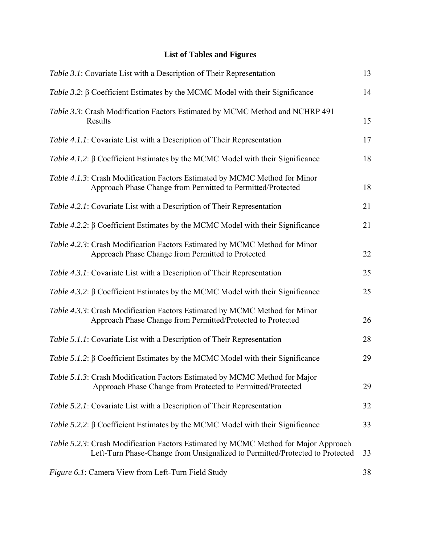### **List of Tables and Figures**

| Table 3.1: Covariate List with a Description of Their Representation                                                                                                | 13 |
|---------------------------------------------------------------------------------------------------------------------------------------------------------------------|----|
| Table 3.2: β Coefficient Estimates by the MCMC Model with their Significance                                                                                        | 14 |
| Table 3.3: Crash Modification Factors Estimated by MCMC Method and NCHRP 491<br>Results                                                                             | 15 |
| Table 4.1.1: Covariate List with a Description of Their Representation                                                                                              | 17 |
| Table 4.1.2: $\beta$ Coefficient Estimates by the MCMC Model with their Significance                                                                                | 18 |
| Table 4.1.3: Crash Modification Factors Estimated by MCMC Method for Minor<br>Approach Phase Change from Permitted to Permitted/Protected                           | 18 |
| Table 4.2.1: Covariate List with a Description of Their Representation                                                                                              | 21 |
| Table 4.2.2: β Coefficient Estimates by the MCMC Model with their Significance                                                                                      | 21 |
| Table 4.2.3: Crash Modification Factors Estimated by MCMC Method for Minor<br>Approach Phase Change from Permitted to Protected                                     | 22 |
| Table 4.3.1: Covariate List with a Description of Their Representation                                                                                              | 25 |
| Table 4.3.2: β Coefficient Estimates by the MCMC Model with their Significance                                                                                      | 25 |
| Table 4.3.3: Crash Modification Factors Estimated by MCMC Method for Minor<br>Approach Phase Change from Permitted/Protected to Protected                           | 26 |
| Table 5.1.1: Covariate List with a Description of Their Representation                                                                                              | 28 |
| Table 5.1.2: β Coefficient Estimates by the MCMC Model with their Significance                                                                                      | 29 |
| Table 5.1.3: Crash Modification Factors Estimated by MCMC Method for Major<br>Approach Phase Change from Protected to Permitted/Protected                           | 29 |
| Table 5.2.1: Covariate List with a Description of Their Representation                                                                                              | 32 |
| Table 5.2.2: β Coefficient Estimates by the MCMC Model with their Significance                                                                                      | 33 |
| Table 5.2.3: Crash Modification Factors Estimated by MCMC Method for Major Approach<br>Left-Turn Phase-Change from Unsignalized to Permitted/Protected to Protected | 33 |
| Figure 6.1: Camera View from Left-Turn Field Study                                                                                                                  | 38 |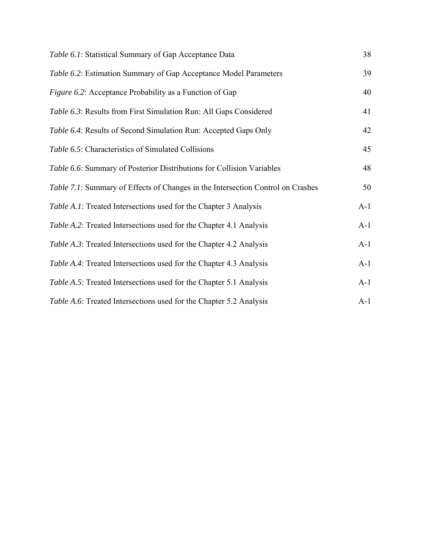| Table 6.1: Statistical Summary of Gap Acceptance Data                           | 38    |
|---------------------------------------------------------------------------------|-------|
| Table 6.2: Estimation Summary of Gap Acceptance Model Parameters                | 39    |
| Figure 6.2: Acceptance Probability as a Function of Gap                         | 40    |
| Table 6.3: Results from First Simulation Run: All Gaps Considered               | 41    |
| Table 6.4: Results of Second Simulation Run: Accepted Gaps Only                 | 42    |
| Table 6.5: Characteristics of Simulated Collisions                              | 45    |
| Table 6.6: Summary of Posterior Distributions for Collision Variables           | 48    |
| Table 7.1: Summary of Effects of Changes in the Intersection Control on Crashes | 50    |
| Table A.1: Treated Intersections used for the Chapter 3 Analysis                | $A-1$ |
| Table A.2: Treated Intersections used for the Chapter 4.1 Analysis              | $A-1$ |
| <i>Table A.3</i> : Treated Intersections used for the Chapter 4.2 Analysis      | $A-1$ |
| Table A.4: Treated Intersections used for the Chapter 4.3 Analysis              | $A-1$ |
| Table A.5: Treated Intersections used for the Chapter 5.1 Analysis              | $A-1$ |
| Table A.6: Treated Intersections used for the Chapter 5.2 Analysis              | $A-1$ |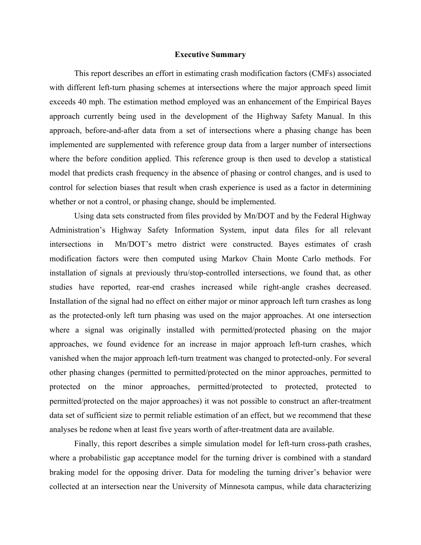#### **Executive Summary**

 This report describes an effort in estimating crash modification factors (CMFs) associated with different left-turn phasing schemes at intersections where the major approach speed limit exceeds 40 mph. The estimation method employed was an enhancement of the Empirical Bayes approach currently being used in the development of the Highway Safety Manual. In this approach, before-and-after data from a set of intersections where a phasing change has been implemented are supplemented with reference group data from a larger number of intersections where the before condition applied. This reference group is then used to develop a statistical model that predicts crash frequency in the absence of phasing or control changes, and is used to control for selection biases that result when crash experience is used as a factor in determining whether or not a control, or phasing change, should be implemented.

 Using data sets constructed from files provided by Mn/DOT and by the Federal Highway Administration's Highway Safety Information System, input data files for all relevant intersections in Mn/DOT's metro district were constructed. Bayes estimates of crash modification factors were then computed using Markov Chain Monte Carlo methods. For installation of signals at previously thru/stop-controlled intersections, we found that, as other studies have reported, rear-end crashes increased while right-angle crashes decreased. Installation of the signal had no effect on either major or minor approach left turn crashes as long as the protected-only left turn phasing was used on the major approaches. At one intersection where a signal was originally installed with permitted/protected phasing on the major approaches, we found evidence for an increase in major approach left-turn crashes, which vanished when the major approach left-turn treatment was changed to protected-only. For several other phasing changes (permitted to permitted/protected on the minor approaches, permitted to protected on the minor approaches, permitted/protected to protected, protected to permitted/protected on the major approaches) it was not possible to construct an after-treatment data set of sufficient size to permit reliable estimation of an effect, but we recommend that these analyses be redone when at least five years worth of after-treatment data are available.

 Finally, this report describes a simple simulation model for left-turn cross-path crashes, where a probabilistic gap acceptance model for the turning driver is combined with a standard braking model for the opposing driver. Data for modeling the turning driver's behavior were collected at an intersection near the University of Minnesota campus, while data characterizing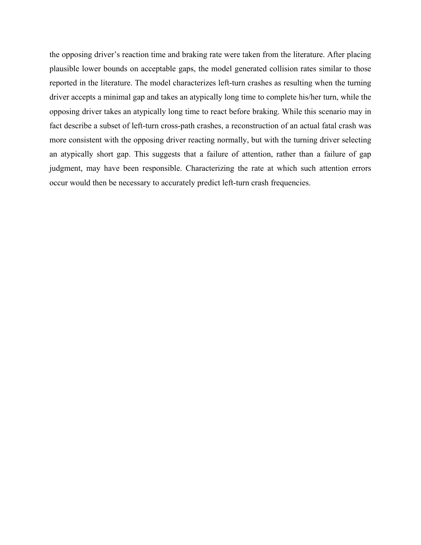the opposing driver's reaction time and braking rate were taken from the literature. After placing plausible lower bounds on acceptable gaps, the model generated collision rates similar to those reported in the literature. The model characterizes left-turn crashes as resulting when the turning driver accepts a minimal gap and takes an atypically long time to complete his/her turn, while the opposing driver takes an atypically long time to react before braking. While this scenario may in fact describe a subset of left-turn cross-path crashes, a reconstruction of an actual fatal crash was more consistent with the opposing driver reacting normally, but with the turning driver selecting an atypically short gap. This suggests that a failure of attention, rather than a failure of gap judgment, may have been responsible. Characterizing the rate at which such attention errors occur would then be necessary to accurately predict left-turn crash frequencies.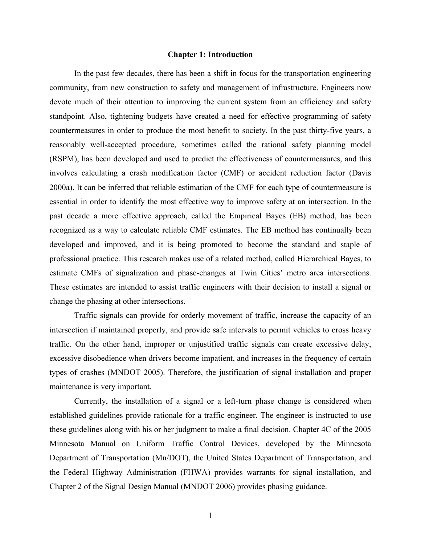#### **Chapter 1: Introduction**

In the past few decades, there has been a shift in focus for the transportation engineering community, from new construction to safety and management of infrastructure. Engineers now devote much of their attention to improving the current system from an efficiency and safety standpoint. Also, tightening budgets have created a need for effective programming of safety countermeasures in order to produce the most benefit to society. In the past thirty-five years, a reasonably well-accepted procedure, sometimes called the rational safety planning model (RSPM), has been developed and used to predict the effectiveness of countermeasures, and this involves calculating a crash modification factor (CMF) or accident reduction factor (Davis 2000a). It can be inferred that reliable estimation of the CMF for each type of countermeasure is essential in order to identify the most effective way to improve safety at an intersection. In the past decade a more effective approach, called the Empirical Bayes (EB) method, has been recognized as a way to calculate reliable CMF estimates. The EB method has continually been developed and improved, and it is being promoted to become the standard and staple of professional practice. This research makes use of a related method, called Hierarchical Bayes, to estimate CMFs of signalization and phase-changes at Twin Cities' metro area intersections. These estimates are intended to assist traffic engineers with their decision to install a signal or change the phasing at other intersections.

 Traffic signals can provide for orderly movement of traffic, increase the capacity of an intersection if maintained properly, and provide safe intervals to permit vehicles to cross heavy traffic. On the other hand, improper or unjustified traffic signals can create excessive delay, excessive disobedience when drivers become impatient, and increases in the frequency of certain types of crashes (MNDOT 2005). Therefore, the justification of signal installation and proper maintenance is very important.

 Currently, the installation of a signal or a left-turn phase change is considered when established guidelines provide rationale for a traffic engineer. The engineer is instructed to use these guidelines along with his or her judgment to make a final decision. Chapter 4C of the 2005 Minnesota Manual on Uniform Traffic Control Devices, developed by the Minnesota Department of Transportation (Mn/DOT), the United States Department of Transportation, and the Federal Highway Administration (FHWA) provides warrants for signal installation, and Chapter 2 of the Signal Design Manual (MNDOT 2006) provides phasing guidance.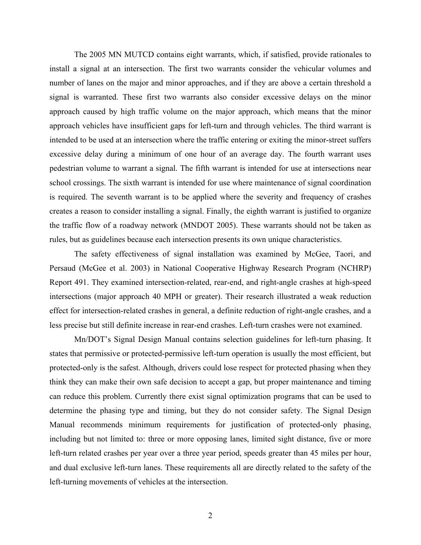The 2005 MN MUTCD contains eight warrants, which, if satisfied, provide rationales to install a signal at an intersection. The first two warrants consider the vehicular volumes and number of lanes on the major and minor approaches, and if they are above a certain threshold a signal is warranted. These first two warrants also consider excessive delays on the minor approach caused by high traffic volume on the major approach, which means that the minor approach vehicles have insufficient gaps for left-turn and through vehicles. The third warrant is intended to be used at an intersection where the traffic entering or exiting the minor-street suffers excessive delay during a minimum of one hour of an average day. The fourth warrant uses pedestrian volume to warrant a signal. The fifth warrant is intended for use at intersections near school crossings. The sixth warrant is intended for use where maintenance of signal coordination is required. The seventh warrant is to be applied where the severity and frequency of crashes creates a reason to consider installing a signal. Finally, the eighth warrant is justified to organize the traffic flow of a roadway network (MNDOT 2005). These warrants should not be taken as rules, but as guidelines because each intersection presents its own unique characteristics.

 The safety effectiveness of signal installation was examined by McGee, Taori, and Persaud (McGee et al. 2003) in National Cooperative Highway Research Program (NCHRP) Report 491. They examined intersection-related, rear-end, and right-angle crashes at high-speed intersections (major approach 40 MPH or greater). Their research illustrated a weak reduction effect for intersection-related crashes in general, a definite reduction of right-angle crashes, and a less precise but still definite increase in rear-end crashes. Left-turn crashes were not examined.

 Mn/DOT's Signal Design Manual contains selection guidelines for left-turn phasing. It states that permissive or protected-permissive left-turn operation is usually the most efficient, but protected-only is the safest. Although, drivers could lose respect for protected phasing when they think they can make their own safe decision to accept a gap, but proper maintenance and timing can reduce this problem. Currently there exist signal optimization programs that can be used to determine the phasing type and timing, but they do not consider safety. The Signal Design Manual recommends minimum requirements for justification of protected-only phasing, including but not limited to: three or more opposing lanes, limited sight distance, five or more left-turn related crashes per year over a three year period, speeds greater than 45 miles per hour, and dual exclusive left-turn lanes. These requirements all are directly related to the safety of the left-turning movements of vehicles at the intersection.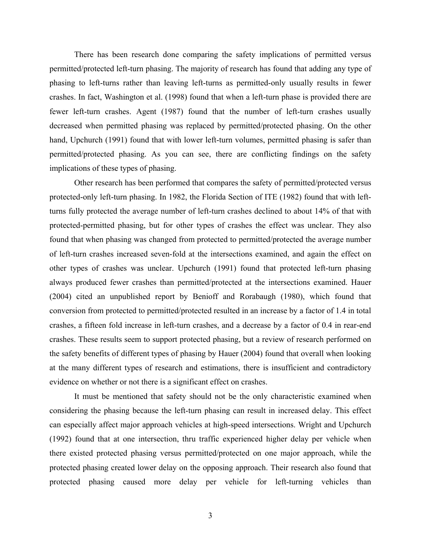There has been research done comparing the safety implications of permitted versus permitted/protected left-turn phasing. The majority of research has found that adding any type of phasing to left-turns rather than leaving left-turns as permitted-only usually results in fewer crashes. In fact, Washington et al. (1998) found that when a left-turn phase is provided there are fewer left-turn crashes. Agent (1987) found that the number of left-turn crashes usually decreased when permitted phasing was replaced by permitted/protected phasing. On the other hand, Upchurch (1991) found that with lower left-turn volumes, permitted phasing is safer than permitted/protected phasing. As you can see, there are conflicting findings on the safety implications of these types of phasing.

 Other research has been performed that compares the safety of permitted/protected versus protected-only left-turn phasing. In 1982, the Florida Section of ITE (1982) found that with leftturns fully protected the average number of left-turn crashes declined to about 14% of that with protected-permitted phasing, but for other types of crashes the effect was unclear. They also found that when phasing was changed from protected to permitted/protected the average number of left-turn crashes increased seven-fold at the intersections examined, and again the effect on other types of crashes was unclear. Upchurch (1991) found that protected left-turn phasing always produced fewer crashes than permitted/protected at the intersections examined. Hauer (2004) cited an unpublished report by Benioff and Rorabaugh (1980), which found that conversion from protected to permitted/protected resulted in an increase by a factor of 1.4 in total crashes, a fifteen fold increase in left-turn crashes, and a decrease by a factor of 0.4 in rear-end crashes. These results seem to support protected phasing, but a review of research performed on the safety benefits of different types of phasing by Hauer (2004) found that overall when looking at the many different types of research and estimations, there is insufficient and contradictory evidence on whether or not there is a significant effect on crashes.

 It must be mentioned that safety should not be the only characteristic examined when considering the phasing because the left-turn phasing can result in increased delay. This effect can especially affect major approach vehicles at high-speed intersections. Wright and Upchurch (1992) found that at one intersection, thru traffic experienced higher delay per vehicle when there existed protected phasing versus permitted/protected on one major approach, while the protected phasing created lower delay on the opposing approach. Their research also found that protected phasing caused more delay per vehicle for left-turning vehicles than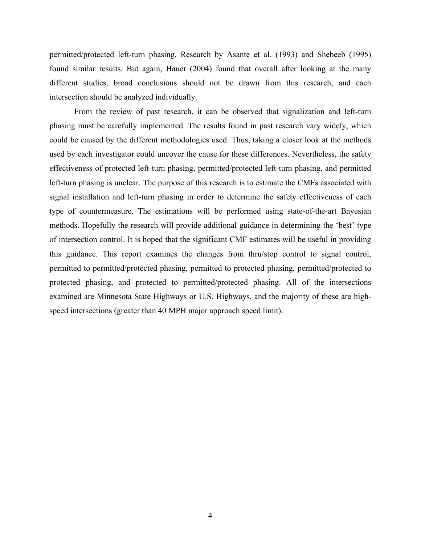permitted/protected left-turn phasing. Research by Asante et al. (1993) and Shebeeb (1995) found similar results. But again, Hauer (2004) found that overall after looking at the many different studies, broad conclusions should not be drawn from this research, and each intersection should be analyzed individually.

 From the review of past research, it can be observed that signalization and left-turn phasing must be carefully implemented. The results found in past research vary widely, which could be caused by the different methodologies used. Thus, taking a closer look at the methods used by each investigator could uncover the cause for these differences. Nevertheless, the safety effectiveness of protected left-turn phasing, permitted/protected left-turn phasing, and permitted left-turn phasing is unclear. The purpose of this research is to estimate the CMFs associated with signal installation and left-turn phasing in order to determine the safety effectiveness of each type of countermeasure. The estimations will be performed using state-of-the-art Bayesian methods. Hopefully the research will provide additional guidance in determining the 'best' type of intersection control. It is hoped that the significant CMF estimates will be useful in providing this guidance. This report examines the changes from thru/stop control to signal control, permitted to permitted/protected phasing, permitted to protected phasing, permitted/protected to protected phasing, and protected to permitted/protected phasing. All of the intersections examined are Minnesota State Highways or U.S. Highways, and the majority of these are highspeed intersections (greater than 40 MPH major approach speed limit).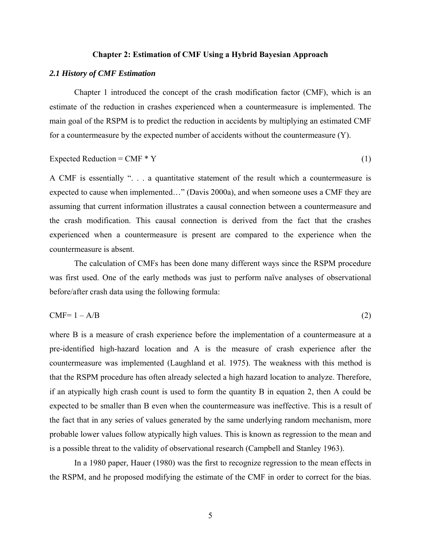#### **Chapter 2: Estimation of CMF Using a Hybrid Bayesian Approach**

#### *2.1 History of CMF Estimation*

 Chapter 1 introduced the concept of the crash modification factor (CMF), which is an estimate of the reduction in crashes experienced when a countermeasure is implemented. The main goal of the RSPM is to predict the reduction in accidents by multiplying an estimated CMF for a countermeasure by the expected number of accidents without the countermeasure (Y).

Expected Reduction = CMF \* Y 
$$
(1)
$$

A CMF is essentially ". . . a quantitative statement of the result which a countermeasure is expected to cause when implemented…" (Davis 2000a), and when someone uses a CMF they are assuming that current information illustrates a causal connection between a countermeasure and the crash modification. This causal connection is derived from the fact that the crashes experienced when a countermeasure is present are compared to the experience when the countermeasure is absent.

 The calculation of CMFs has been done many different ways since the RSPM procedure was first used. One of the early methods was just to perform naïve analyses of observational before/after crash data using the following formula:

$$
CMF = 1 - A/B
$$
 (2)

where B is a measure of crash experience before the implementation of a countermeasure at a pre-identified high-hazard location and A is the measure of crash experience after the countermeasure was implemented (Laughland et al. 1975). The weakness with this method is that the RSPM procedure has often already selected a high hazard location to analyze. Therefore, if an atypically high crash count is used to form the quantity B in equation 2, then A could be expected to be smaller than B even when the countermeasure was ineffective. This is a result of the fact that in any series of values generated by the same underlying random mechanism, more probable lower values follow atypically high values. This is known as regression to the mean and is a possible threat to the validity of observational research (Campbell and Stanley 1963).

In a 1980 paper, Hauer (1980) was the first to recognize regression to the mean effects in the RSPM, and he proposed modifying the estimate of the CMF in order to correct for the bias.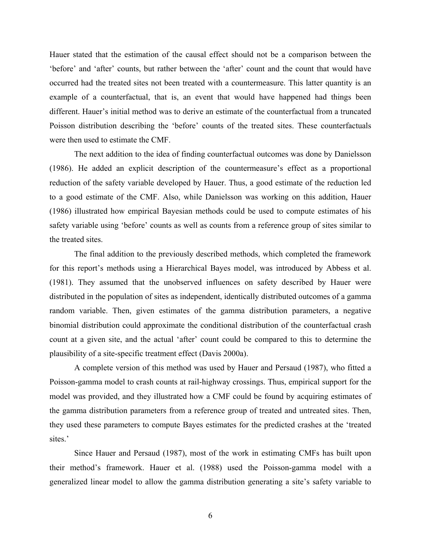Hauer stated that the estimation of the causal effect should not be a comparison between the 'before' and 'after' counts, but rather between the 'after' count and the count that would have occurred had the treated sites not been treated with a countermeasure. This latter quantity is an example of a counterfactual, that is, an event that would have happened had things been different. Hauer's initial method was to derive an estimate of the counterfactual from a truncated Poisson distribution describing the 'before' counts of the treated sites. These counterfactuals were then used to estimate the CMF.

 The next addition to the idea of finding counterfactual outcomes was done by Danielsson (1986). He added an explicit description of the countermeasure's effect as a proportional reduction of the safety variable developed by Hauer. Thus, a good estimate of the reduction led to a good estimate of the CMF. Also, while Danielsson was working on this addition, Hauer (1986) illustrated how empirical Bayesian methods could be used to compute estimates of his safety variable using 'before' counts as well as counts from a reference group of sites similar to the treated sites.

 The final addition to the previously described methods, which completed the framework for this report's methods using a Hierarchical Bayes model, was introduced by Abbess et al. (1981). They assumed that the unobserved influences on safety described by Hauer were distributed in the population of sites as independent, identically distributed outcomes of a gamma random variable. Then, given estimates of the gamma distribution parameters, a negative binomial distribution could approximate the conditional distribution of the counterfactual crash count at a given site, and the actual 'after' count could be compared to this to determine the plausibility of a site-specific treatment effect (Davis 2000a).

 A complete version of this method was used by Hauer and Persaud (1987), who fitted a Poisson-gamma model to crash counts at rail-highway crossings. Thus, empirical support for the model was provided, and they illustrated how a CMF could be found by acquiring estimates of the gamma distribution parameters from a reference group of treated and untreated sites. Then, they used these parameters to compute Bayes estimates for the predicted crashes at the 'treated sites.'

 Since Hauer and Persaud (1987), most of the work in estimating CMFs has built upon their method's framework. Hauer et al. (1988) used the Poisson-gamma model with a generalized linear model to allow the gamma distribution generating a site's safety variable to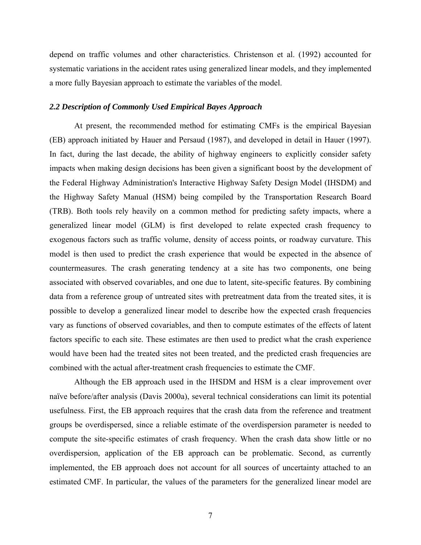depend on traffic volumes and other characteristics. Christenson et al. (1992) accounted for systematic variations in the accident rates using generalized linear models, and they implemented a more fully Bayesian approach to estimate the variables of the model.

#### *2.2 Description of Commonly Used Empirical Bayes Approach*

At present, the recommended method for estimating CMFs is the empirical Bayesian (EB) approach initiated by Hauer and Persaud (1987), and developed in detail in Hauer (1997). In fact, during the last decade, the ability of highway engineers to explicitly consider safety impacts when making design decisions has been given a significant boost by the development of the Federal Highway Administration's Interactive Highway Safety Design Model (IHSDM) and the Highway Safety Manual (HSM) being compiled by the Transportation Research Board (TRB). Both tools rely heavily on a common method for predicting safety impacts, where a generalized linear model (GLM) is first developed to relate expected crash frequency to exogenous factors such as traffic volume, density of access points, or roadway curvature. This model is then used to predict the crash experience that would be expected in the absence of countermeasures. The crash generating tendency at a site has two components, one being associated with observed covariables, and one due to latent, site-specific features. By combining data from a reference group of untreated sites with pretreatment data from the treated sites, it is possible to develop a generalized linear model to describe how the expected crash frequencies vary as functions of observed covariables, and then to compute estimates of the effects of latent factors specific to each site. These estimates are then used to predict what the crash experience would have been had the treated sites not been treated, and the predicted crash frequencies are combined with the actual after-treatment crash frequencies to estimate the CMF.

Although the EB approach used in the IHSDM and HSM is a clear improvement over naïve before/after analysis (Davis 2000a), several technical considerations can limit its potential usefulness. First, the EB approach requires that the crash data from the reference and treatment groups be overdispersed, since a reliable estimate of the overdispersion parameter is needed to compute the site-specific estimates of crash frequency. When the crash data show little or no overdispersion, application of the EB approach can be problematic. Second, as currently implemented, the EB approach does not account for all sources of uncertainty attached to an estimated CMF. In particular, the values of the parameters for the generalized linear model are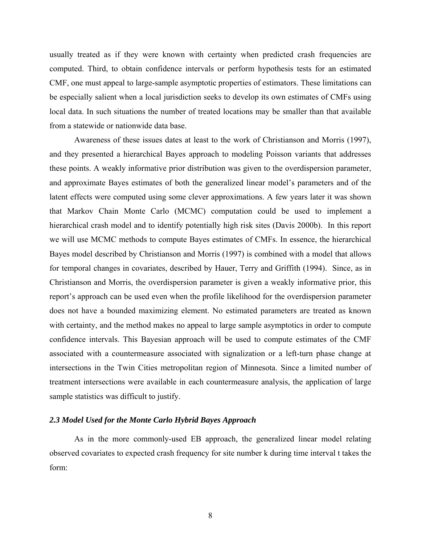usually treated as if they were known with certainty when predicted crash frequencies are computed. Third, to obtain confidence intervals or perform hypothesis tests for an estimated CMF, one must appeal to large-sample asymptotic properties of estimators. These limitations can be especially salient when a local jurisdiction seeks to develop its own estimates of CMFs using local data. In such situations the number of treated locations may be smaller than that available from a statewide or nationwide data base.

 Awareness of these issues dates at least to the work of Christianson and Morris (1997), and they presented a hierarchical Bayes approach to modeling Poisson variants that addresses these points. A weakly informative prior distribution was given to the overdispersion parameter, and approximate Bayes estimates of both the generalized linear model's parameters and of the latent effects were computed using some clever approximations. A few years later it was shown that Markov Chain Monte Carlo (MCMC) computation could be used to implement a hierarchical crash model and to identify potentially high risk sites (Davis 2000b). In this report we will use MCMC methods to compute Bayes estimates of CMFs. In essence, the hierarchical Bayes model described by Christianson and Morris (1997) is combined with a model that allows for temporal changes in covariates, described by Hauer, Terry and Griffith (1994). Since, as in Christianson and Morris, the overdispersion parameter is given a weakly informative prior, this report's approach can be used even when the profile likelihood for the overdispersion parameter does not have a bounded maximizing element. No estimated parameters are treated as known with certainty, and the method makes no appeal to large sample asymptotics in order to compute confidence intervals. This Bayesian approach will be used to compute estimates of the CMF associated with a countermeasure associated with signalization or a left-turn phase change at intersections in the Twin Cities metropolitan region of Minnesota. Since a limited number of treatment intersections were available in each countermeasure analysis, the application of large sample statistics was difficult to justify.

#### *2.3 Model Used for the Monte Carlo Hybrid Bayes Approach*

 As in the more commonly-used EB approach, the generalized linear model relating observed covariates to expected crash frequency for site number k during time interval t takes the form: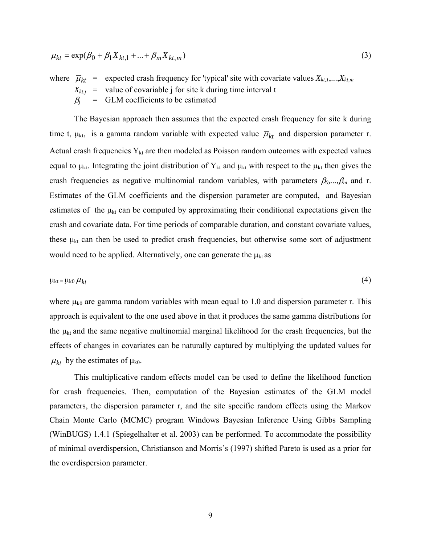$$
\overline{\mu}_{kt} = \exp(\beta_0 + \beta_1 X_{kt,1} + \dots + \beta_m X_{kt,m})
$$
\n(3)

where  $\overline{\mu}_{kt}$  = expected crash frequency for 'typical' site with covariate values  $X_{kt,1},...,X_{kt,m}$  $X_{kt,j}$  = value of covariable j for site k during time interval t  $\beta$ <sup>*j*</sup> = GLM coefficients to be estimated

 The Bayesian approach then assumes that the expected crash frequency for site k during time t,  $\mu_{kt}$ , is a gamma random variable with expected value  $\overline{\mu}_{kt}$  and dispersion parameter r. Actual crash frequencies  $Y_{kt}$  are then modeled as Poisson random outcomes with expected values equal to  $\mu_{kt}$ . Integrating the joint distribution of Y<sub>kt</sub> and  $\mu_{kt}$  with respect to the  $\mu_{kt}$  then gives the crash frequencies as negative multinomial random variables, with parameters β*0,...,*β*m* and r. Estimates of the GLM coefficients and the dispersion parameter are computed, and Bayesian estimates of the  $\mu_{kt}$  can be computed by approximating their conditional expectations given the crash and covariate data. For time periods of comparable duration, and constant covariate values, these  $\mu_{kt}$  can then be used to predict crash frequencies, but otherwise some sort of adjustment would need to be applied. Alternatively, one can generate the  $\mu_{kt}$  as

$$
\mu_{kt} = \mu_{k0} \, \overline{\mu}_{kt} \tag{4}
$$

where  $\mu_{k0}$  are gamma random variables with mean equal to 1.0 and dispersion parameter r. This approach is equivalent to the one used above in that it produces the same gamma distributions for the  $\mu_{kt}$  and the same negative multinomial marginal likelihood for the crash frequencies, but the effects of changes in covariates can be naturally captured by multiplying the updated values for  $\overline{\mu}_{kt}$  by the estimates of  $\mu_{k0}$ .

 This multiplicative random effects model can be used to define the likelihood function for crash frequencies. Then, computation of the Bayesian estimates of the GLM model parameters, the dispersion parameter r, and the site specific random effects using the Markov Chain Monte Carlo (MCMC) program Windows Bayesian Inference Using Gibbs Sampling (WinBUGS) 1.4.1 (Spiegelhalter et al. 2003) can be performed. To accommodate the possibility of minimal overdispersion, Christianson and Morris's (1997) shifted Pareto is used as a prior for the overdispersion parameter.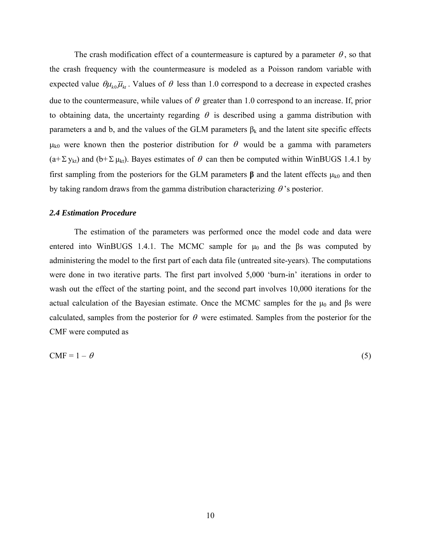The crash modification effect of a countermeasure is captured by a parameter  $\theta$ , so that the crash frequency with the countermeasure is modeled as a Poisson random variable with expected value  $\theta \mu_{k_0} \overline{\mu}_{k_1}$ . Values of  $\theta$  less than 1.0 correspond to a decrease in expected crashes due to the countermeasure, while values of  $\theta$  greater than 1.0 correspond to an increase. If, prior to obtaining data, the uncertainty regarding  $\theta$  is described using a gamma distribution with parameters a and b, and the values of the GLM parameters  $\beta_k$  and the latent site specific effects  $\mu_{k0}$  were known then the posterior distribution for  $\theta$  would be a gamma with parameters  $(a+\Sigma y_{kt})$  and  $(b+\Sigma \mu_{kt})$ . Bayes estimates of  $\theta$  can then be computed within WinBUGS 1.4.1 by first sampling from the posteriors for the GLM parameters  $\beta$  and the latent effects  $\mu_{k0}$  and then by taking random draws from the gamma distribution characterizing  $\theta$ 's posterior.

#### *2.4 Estimation Procedure*

 The estimation of the parameters was performed once the model code and data were entered into WinBUGS 1.4.1. The MCMC sample for  $\mu_0$  and the  $\beta$ s was computed by administering the model to the first part of each data file (untreated site-years). The computations were done in two iterative parts. The first part involved 5,000 'burn-in' iterations in order to wash out the effect of the starting point, and the second part involves 10,000 iterations for the actual calculation of the Bayesian estimate. Once the MCMC samples for the  $\mu_0$  and  $\beta$ s were calculated, samples from the posterior for  $\theta$  were estimated. Samples from the posterior for the CMF were computed as

$$
CMF = 1 - \theta \tag{5}
$$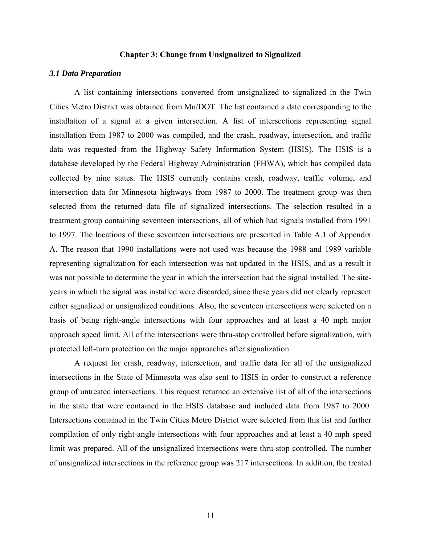#### **Chapter 3: Change from Unsignalized to Signalized**

#### *3.1 Data Preparation*

A list containing intersections converted from unsignalized to signalized in the Twin Cities Metro District was obtained from Mn/DOT. The list contained a date corresponding to the installation of a signal at a given intersection. A list of intersections representing signal installation from 1987 to 2000 was compiled, and the crash, roadway, intersection, and traffic data was requested from the Highway Safety Information System (HSIS). The HSIS is a database developed by the Federal Highway Administration (FHWA), which has compiled data collected by nine states. The HSIS currently contains crash, roadway, traffic volume, and intersection data for Minnesota highways from 1987 to 2000. The treatment group was then selected from the returned data file of signalized intersections. The selection resulted in a treatment group containing seventeen intersections, all of which had signals installed from 1991 to 1997. The locations of these seventeen intersections are presented in Table A.1 of Appendix A. The reason that 1990 installations were not used was because the 1988 and 1989 variable representing signalization for each intersection was not updated in the HSIS, and as a result it was not possible to determine the year in which the intersection had the signal installed. The siteyears in which the signal was installed were discarded, since these years did not clearly represent either signalized or unsignalized conditions. Also, the seventeen intersections were selected on a basis of being right-angle intersections with four approaches and at least a 40 mph major approach speed limit. All of the intersections were thru-stop controlled before signalization, with protected left-turn protection on the major approaches after signalization.

A request for crash, roadway, intersection, and traffic data for all of the unsignalized intersections in the State of Minnesota was also sent to HSIS in order to construct a reference group of untreated intersections. This request returned an extensive list of all of the intersections in the state that were contained in the HSIS database and included data from 1987 to 2000. Intersections contained in the Twin Cities Metro District were selected from this list and further compilation of only right-angle intersections with four approaches and at least a 40 mph speed limit was prepared. All of the unsignalized intersections were thru-stop controlled. The number of unsignalized intersections in the reference group was 217 intersections. In addition, the treated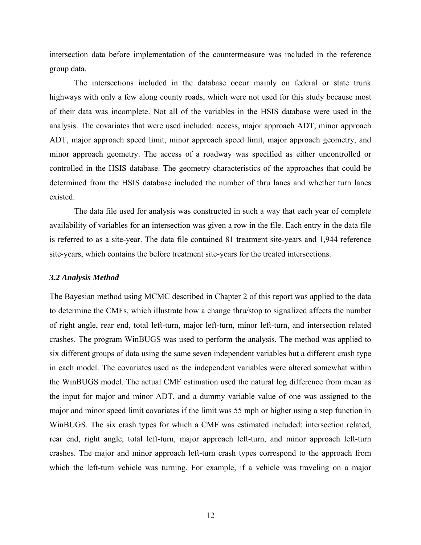intersection data before implementation of the countermeasure was included in the reference group data.

The intersections included in the database occur mainly on federal or state trunk highways with only a few along county roads, which were not used for this study because most of their data was incomplete. Not all of the variables in the HSIS database were used in the analysis. The covariates that were used included: access, major approach ADT, minor approach ADT, major approach speed limit, minor approach speed limit, major approach geometry, and minor approach geometry. The access of a roadway was specified as either uncontrolled or controlled in the HSIS database. The geometry characteristics of the approaches that could be determined from the HSIS database included the number of thru lanes and whether turn lanes existed.

The data file used for analysis was constructed in such a way that each year of complete availability of variables for an intersection was given a row in the file. Each entry in the data file is referred to as a site-year. The data file contained 81 treatment site-years and 1,944 reference site-years, which contains the before treatment site-years for the treated intersections.

#### *3.2 Analysis Method*

The Bayesian method using MCMC described in Chapter 2 of this report was applied to the data to determine the CMFs, which illustrate how a change thru/stop to signalized affects the number of right angle, rear end, total left-turn, major left-turn, minor left-turn, and intersection related crashes. The program WinBUGS was used to perform the analysis. The method was applied to six different groups of data using the same seven independent variables but a different crash type in each model. The covariates used as the independent variables were altered somewhat within the WinBUGS model. The actual CMF estimation used the natural log difference from mean as the input for major and minor ADT, and a dummy variable value of one was assigned to the major and minor speed limit covariates if the limit was 55 mph or higher using a step function in WinBUGS. The six crash types for which a CMF was estimated included: intersection related, rear end, right angle, total left-turn, major approach left-turn, and minor approach left-turn crashes. The major and minor approach left-turn crash types correspond to the approach from which the left-turn vehicle was turning. For example, if a vehicle was traveling on a major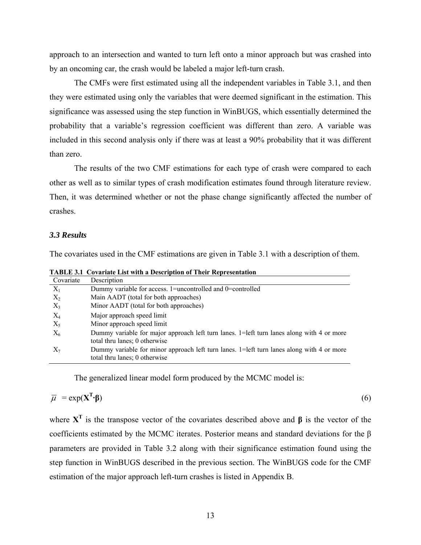approach to an intersection and wanted to turn left onto a minor approach but was crashed into by an oncoming car, the crash would be labeled a major left-turn crash.

 The CMFs were first estimated using all the independent variables in Table 3.1, and then they were estimated using only the variables that were deemed significant in the estimation. This significance was assessed using the step function in WinBUGS, which essentially determined the probability that a variable's regression coefficient was different than zero. A variable was included in this second analysis only if there was at least a 90% probability that it was different than zero.

 The results of the two CMF estimations for each type of crash were compared to each other as well as to similar types of crash modification estimates found through literature review. Then, it was determined whether or not the phase change significantly affected the number of crashes.

#### *3.3 Results*

The covariates used in the CMF estimations are given in Table 3.1 with a description of them.

| Covariate | Description                                                                                                                |
|-----------|----------------------------------------------------------------------------------------------------------------------------|
| $X_1$     | Dummy variable for access. 1=uncontrolled and 0=controlled                                                                 |
| $X_2$     | Main AADT (total for both approaches)                                                                                      |
| $X_3$     | Minor AADT (total for both approaches)                                                                                     |
| $X_4$     | Major approach speed limit                                                                                                 |
| $X_5$     | Minor approach speed limit                                                                                                 |
| $X_6$     | Dummy variable for major approach left turn lanes. 1=left turn lanes along with 4 or more<br>total thru lanes; 0 otherwise |
| $X_7$     | Dummy variable for minor approach left turn lanes. 1=left turn lanes along with 4 or more<br>total thru lanes; 0 otherwise |

**TABLE 3.1 Covariate List with a Description of Their Representation** 

The generalized linear model form produced by the MCMC model is:

$$
\overline{\mu} = \exp(\mathbf{X}^{\mathrm{T}} \cdot \mathbf{\beta}) \tag{6}
$$

where  $X<sup>T</sup>$  is the transpose vector of the covariates described above and  $\beta$  is the vector of the coefficients estimated by the MCMC iterates. Posterior means and standard deviations for the β parameters are provided in Table 3.2 along with their significance estimation found using the step function in WinBUGS described in the previous section. The WinBUGS code for the CMF estimation of the major approach left-turn crashes is listed in Appendix B.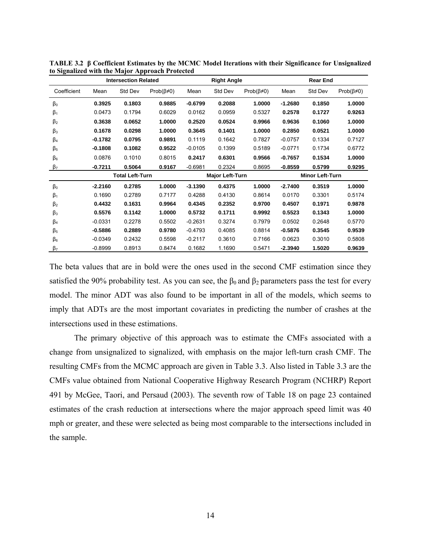|                      |           | <b>Intersection Related</b> |                        |                        | <b>Right Angle</b> |                        |           | <b>Rear End</b> |                        |
|----------------------|-----------|-----------------------------|------------------------|------------------------|--------------------|------------------------|-----------|-----------------|------------------------|
| Coefficient          | Mean      | Std Dev                     | Prob( $\beta \neq 0$ ) | Mean                   | Std Dev            | $Prob(\beta \neq 0)$   | Mean      | Std Dev         | Prob( $\beta \neq 0$ ) |
| $\beta_0$            | 0.3925    | 0.1803                      | 0.9885                 | $-0.6799$              | 0.2088             | 1.0000                 | $-1.2680$ | 0.1850          | 1.0000                 |
| $\beta_1$            | 0.0473    | 0.1794                      | 0.6029                 | 0.0162                 | 0.0959             | 0.5327                 | 0.2578    | 0.1727          | 0.9263                 |
| $\beta_2$            | 0.3638    | 0.0652                      | 1.0000                 | 0.2520                 | 0.0524             | 0.9966                 | 0.9636    | 0.1060          | 1.0000                 |
| $\beta_3$            | 0.1678    | 0.0298                      | 1.0000                 | 0.3645                 | 0.1401             | 1.0000                 | 0.2850    | 0.0521          | 1.0000                 |
| $\beta_4$            | $-0.1782$ | 0.0795                      | 0.9891                 | 0.1119                 | 0.1642             | 0.7827                 | $-0.0757$ | 0.1334          | 0.7127                 |
| $\beta_5$            | $-0.1808$ | 0.1082                      | 0.9522                 | $-0.0105$              | 0.1399             | 0.5189                 | $-0.0771$ | 0.1734          | 0.6772                 |
| $\beta_6$            | 0.0876    | 0.1010                      | 0.8015                 | 0.2417                 | 0.6301             | 0.9566                 | $-0.7657$ | 0.1534          | 1.0000                 |
| $\beta$ <sub>7</sub> | -0.7211   | 0.5064                      | 0.9167                 | $-0.6981$              | 0.2324             | 0.8695                 | $-0.8559$ | 0.5799          | 0.9295                 |
|                      |           | <b>Total Left-Turn</b>      |                        | <b>Major Left-Turn</b> |                    | <b>Minor Left-Turn</b> |           |                 |                        |
| $\beta_0$            | $-2.2160$ | 0.2785                      | 1.0000                 | $-3.1390$              | 0.4375             | 1.0000                 | $-2.7400$ | 0.3519          | 1.0000                 |
| $\beta_1$            | 0.1690    | 0.2789                      | 0.7177                 | 0.4288                 | 0.4130             | 0.8614                 | 0.0170    | 0.3301          | 0.5174                 |
| $\beta_2$            | 0.4432    | 0.1631                      | 0.9964                 | 0.4345                 | 0.2352             | 0.9700                 | 0.4507    | 0.1971          | 0.9878                 |
| $\beta_3$            | 0.5576    | 0.1142                      | 1.0000                 | 0.5732                 | 0.1711             | 0.9992                 | 0.5523    | 0.1343          | 1.0000                 |
| $\beta_4$            | $-0.0331$ | 0.2278                      | 0.5502                 | $-0.2631$              | 0.3274             | 0.7979                 | 0.0502    | 0.2648          | 0.5770                 |
| $\beta_5$            | $-0.5886$ | 0.2889                      | 0.9780                 | $-0.4793$              | 0.4085             | 0.8814                 | $-0.5876$ | 0.3545          | 0.9539                 |
| $\beta_6$            | $-0.0349$ | 0.2432                      | 0.5598                 | $-0.2117$              | 0.3610             | 0.7166                 | 0.0623    | 0.3010          | 0.5808                 |
| $\beta_7$            | $-0.8999$ | 0.8913                      | 0.8474                 | 0.1682                 | 1.1690             | 0.5471                 | $-2.3940$ | 1.5020          | 0.9639                 |

**TABLE 3.2 β Coefficient Estimates by the MCMC Model Iterations with their Significance for Unsignalized to Signalized with the Major Approach Protected** 

The beta values that are in bold were the ones used in the second CMF estimation since they satisfied the 90% probability test. As you can see, the  $\beta_0$  and  $\beta_2$  parameters pass the test for every model. The minor ADT was also found to be important in all of the models, which seems to imply that ADTs are the most important covariates in predicting the number of crashes at the intersections used in these estimations.

The primary objective of this approach was to estimate the CMFs associated with a change from unsignalized to signalized, with emphasis on the major left-turn crash CMF. The resulting CMFs from the MCMC approach are given in Table 3.3. Also listed in Table 3.3 are the CMFs value obtained from National Cooperative Highway Research Program (NCHRP) Report 491 by McGee, Taori, and Persaud (2003). The seventh row of Table 18 on page 23 contained estimates of the crash reduction at intersections where the major approach speed limit was 40 mph or greater, and these were selected as being most comparable to the intersections included in the sample.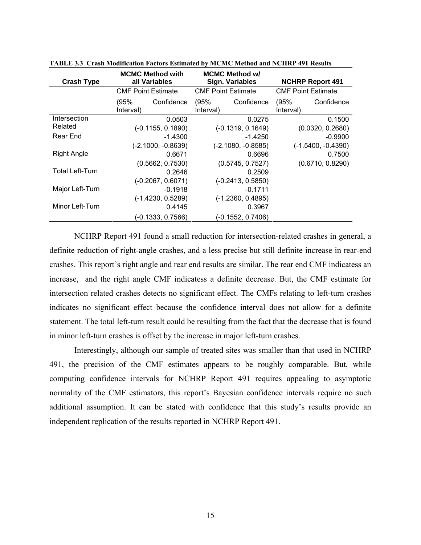| <b>Crash Type</b>      | <b>MCMC Method with</b><br>all Variables |                           | <b>MCMC Method w/</b><br><b>Sign. Variables</b> |                           | <b>NCHRP Report 491</b>   |                  |
|------------------------|------------------------------------------|---------------------------|-------------------------------------------------|---------------------------|---------------------------|------------------|
|                        |                                          | <b>CMF Point Estimate</b> |                                                 | <b>CMF Point Estimate</b> | <b>CMF Point Estimate</b> |                  |
|                        | (95%<br>Interval)                        | Confidence                | (95%<br>Interval)                               | Confidence                | (95%<br>Interval)         | Confidence       |
| Intersection           |                                          | 0.0503                    |                                                 | 0.0275                    |                           | 0.1500           |
| Related                |                                          | $(-0.1155, 0.1890)$       |                                                 | $(-0.1319, 0.1649)$       |                           | (0.0320, 0.2680) |
| Rear End               |                                          | $-1.4300$                 | $-1.4250$                                       |                           | $-0.9900$                 |                  |
|                        |                                          | $(-2.1000, -0.8639)$      | $(-2.1080, -0.8585)$                            |                           | $(-1.5400, -0.4390)$      |                  |
| <b>Right Angle</b>     |                                          | 0.6671                    |                                                 | 0.6696                    |                           | 0.7500           |
|                        |                                          | (0.5662, 0.7530)          |                                                 | (0.5745, 0.7527)          | (0.6710, 0.8290)          |                  |
| <b>Total Left-Turn</b> |                                          | 0.2646                    |                                                 | 0.2509                    |                           |                  |
|                        |                                          | $(-0.2067, 0.6071)$       |                                                 | $(-0.2413, 0.5850)$       |                           |                  |
| Major Left-Turn        |                                          | $-0.1918$                 |                                                 | $-0.1711$                 |                           |                  |
|                        |                                          | $(-1.4230, 0.5289)$       |                                                 | $(-1.2360, 0.4895)$       |                           |                  |
| Minor Left-Turn        |                                          | 0.4145                    |                                                 | 0.3967                    |                           |                  |
|                        |                                          | (-0.1333, 0.7566)         |                                                 | (-0.1552, 0.7406)         |                           |                  |

**TABLE 3.3 Crash Modification Factors Estimated by MCMC Method and NCHRP 491 Results** 

NCHRP Report 491 found a small reduction for intersection-related crashes in general, a definite reduction of right-angle crashes, and a less precise but still definite increase in rear-end crashes. This report's right angle and rear end results are similar. The rear end CMF indicatess an increase, and the right angle CMF indicatess a definite decrease. But, the CMF estimate for intersection related crashes detects no significant effect. The CMFs relating to left-turn crashes indicates no significant effect because the confidence interval does not allow for a definite statement. The total left-turn result could be resulting from the fact that the decrease that is found in minor left-turn crashes is offset by the increase in major left-turn crashes.

Interestingly, although our sample of treated sites was smaller than that used in NCHRP 491, the precision of the CMF estimates appears to be roughly comparable. But, while computing confidence intervals for NCHRP Report 491 requires appealing to asymptotic normality of the CMF estimators, this report's Bayesian confidence intervals require no such additional assumption. It can be stated with confidence that this study's results provide an independent replication of the results reported in NCHRP Report 491.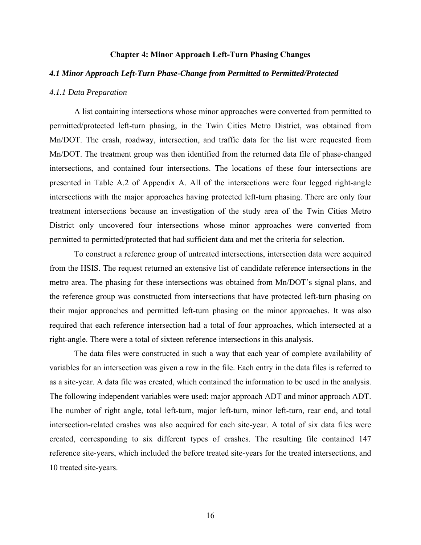#### **Chapter 4: Minor Approach Left-Turn Phasing Changes**

#### *4.1 Minor Approach Left-Turn Phase-Change from Permitted to Permitted/Protected*

#### *4.1.1 Data Preparation*

A list containing intersections whose minor approaches were converted from permitted to permitted/protected left-turn phasing, in the Twin Cities Metro District, was obtained from Mn/DOT. The crash, roadway, intersection, and traffic data for the list were requested from Mn/DOT. The treatment group was then identified from the returned data file of phase-changed intersections, and contained four intersections. The locations of these four intersections are presented in Table A.2 of Appendix A. All of the intersections were four legged right-angle intersections with the major approaches having protected left-turn phasing. There are only four treatment intersections because an investigation of the study area of the Twin Cities Metro District only uncovered four intersections whose minor approaches were converted from permitted to permitted/protected that had sufficient data and met the criteria for selection.

To construct a reference group of untreated intersections, intersection data were acquired from the HSIS. The request returned an extensive list of candidate reference intersections in the metro area. The phasing for these intersections was obtained from Mn/DOT's signal plans, and the reference group was constructed from intersections that have protected left-turn phasing on their major approaches and permitted left-turn phasing on the minor approaches. It was also required that each reference intersection had a total of four approaches, which intersected at a right-angle. There were a total of sixteen reference intersections in this analysis.

The data files were constructed in such a way that each year of complete availability of variables for an intersection was given a row in the file. Each entry in the data files is referred to as a site-year. A data file was created, which contained the information to be used in the analysis. The following independent variables were used: major approach ADT and minor approach ADT. The number of right angle, total left-turn, major left-turn, minor left-turn, rear end, and total intersection-related crashes was also acquired for each site-year. A total of six data files were created, corresponding to six different types of crashes. The resulting file contained 147 reference site-years, which included the before treated site-years for the treated intersections, and 10 treated site-years.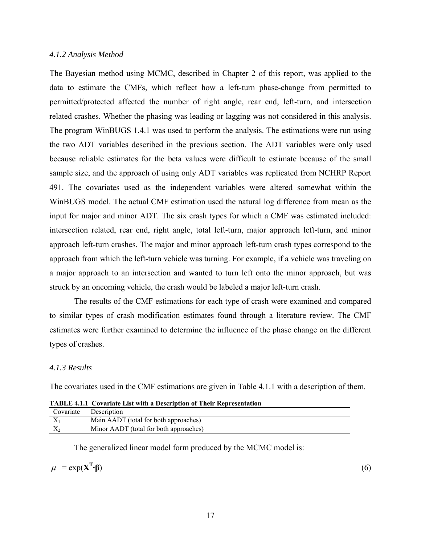#### *4.1.2 Analysis Method*

The Bayesian method using MCMC, described in Chapter 2 of this report, was applied to the data to estimate the CMFs, which reflect how a left-turn phase-change from permitted to permitted/protected affected the number of right angle, rear end, left-turn, and intersection related crashes. Whether the phasing was leading or lagging was not considered in this analysis. The program WinBUGS 1.4.1 was used to perform the analysis. The estimations were run using the two ADT variables described in the previous section. The ADT variables were only used because reliable estimates for the beta values were difficult to estimate because of the small sample size, and the approach of using only ADT variables was replicated from NCHRP Report 491. The covariates used as the independent variables were altered somewhat within the WinBUGS model. The actual CMF estimation used the natural log difference from mean as the input for major and minor ADT. The six crash types for which a CMF was estimated included: intersection related, rear end, right angle, total left-turn, major approach left-turn, and minor approach left-turn crashes. The major and minor approach left-turn crash types correspond to the approach from which the left-turn vehicle was turning. For example, if a vehicle was traveling on a major approach to an intersection and wanted to turn left onto the minor approach, but was struck by an oncoming vehicle, the crash would be labeled a major left-turn crash.

 The results of the CMF estimations for each type of crash were examined and compared to similar types of crash modification estimates found through a literature review. The CMF estimates were further examined to determine the influence of the phase change on the different types of crashes.

#### *4.1.3 Results*

The covariates used in the CMF estimations are given in Table 4.1.1 with a description of them.

|           | <b>TABLE 4.1.1 Covariate List with a Description of Their Representation</b> |
|-----------|------------------------------------------------------------------------------|
| Covariate | Description                                                                  |
| $X_1$     | Main AADT (total for both approaches)                                        |
| $X_{2}$   | Minor AADT (total for both approaches)                                       |

| <b>TABLE 4.1.1 Covariate List with a Description of Their Representation</b> |  |  |
|------------------------------------------------------------------------------|--|--|
|                                                                              |  |  |

The generalized linear model form produced by the MCMC model is:

$$
\overline{\mu} = \exp(X^T \cdot \beta)
$$

**·β**) (6)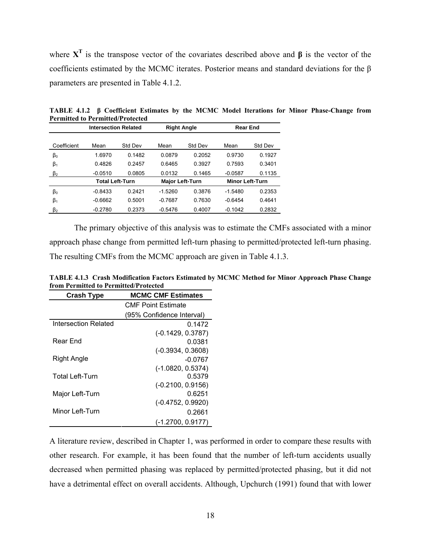where **XT** is the transpose vector of the covariates described above and **β** is the vector of the coefficients estimated by the MCMC iterates. Posterior means and standard deviations for the β parameters are presented in Table 4.1.2.

|             | <b>Intersection Related</b> |         | <b>Right Angle</b> |                        | <b>Rear End</b> |                        |
|-------------|-----------------------------|---------|--------------------|------------------------|-----------------|------------------------|
|             |                             |         |                    |                        |                 |                        |
| Coefficient | Mean                        | Std Dev | Mean               | Std Dev                | Mean            | Std Dev                |
| $\beta_0$   | 1.6970                      | 0.1482  | 0.0879             | 0.2052                 | 0.9730          | 0.1927                 |
| $\beta_1$   | 0.4826                      | 0.2457  | 0.6465             | 0.3927                 | 0.7593          | 0.3401                 |
| $\beta_2$   | $-0.0510$                   | 0.0805  | 0.0132             | 0.1465                 | $-0.0587$       | 0.1135                 |
|             | <b>Total Left-Turn</b>      |         |                    | <b>Major Left-Turn</b> |                 | <b>Minor Left-Turn</b> |
| $\beta_0$   | $-0.8433$                   | 0 2421  | $-1.5260$          | 0.3876                 | $-1.5480$       | 0.2353                 |
| $\beta_1$   | $-0.6662$                   | 0.5001  | $-0.7687$          | 0.7630                 | $-0.6454$       | 0.4641                 |
| $\beta_2$   | $-0.2780$                   | 0.2373  | $-0.5476$          | 0.4007                 | $-0.1042$       | 0.2832                 |

**TABLE 4.1.2 β Coefficient Estimates by the MCMC Model Iterations for Minor Phase-Change from Permitted to Permitted/Protected** 

 The primary objective of this analysis was to estimate the CMFs associated with a minor approach phase change from permitted left-turn phasing to permitted/protected left-turn phasing. The resulting CMFs from the MCMC approach are given in Table 4.1.3.

| <b>Crash Type</b>      | <b>MCMC CMF Estimates</b> |
|------------------------|---------------------------|
|                        | <b>CMF Point Estimate</b> |
|                        | (95% Confidence Interval) |
| Intersection Related   | 0.1472                    |
|                        | $(-0.1429, 0.3787)$       |
| Rear End               | 0.0381                    |
|                        | $(-0.3934, 0.3608)$       |
| Right Angle            | $-0.0767$                 |
|                        | $(-1.0820, 0.5374)$       |
| <b>Total Left-Turn</b> | 0.5379                    |
|                        | $(-0.2100, 0.9156)$       |
| Major Left-Turn        | 0.6251                    |
|                        | $(-0.4752, 0.9920)$       |
| Minor Left-Turn        | 0.2661                    |
|                        | (-1.2700, 0.9177)         |

**TABLE 4.1.3 Crash Modification Factors Estimated by MCMC Method for Minor Approach Phase Change from Permitted to Permitted/Protected** 

A literature review, described in Chapter 1, was performed in order to compare these results with other research. For example, it has been found that the number of left-turn accidents usually decreased when permitted phasing was replaced by permitted/protected phasing, but it did not have a detrimental effect on overall accidents. Although, Upchurch (1991) found that with lower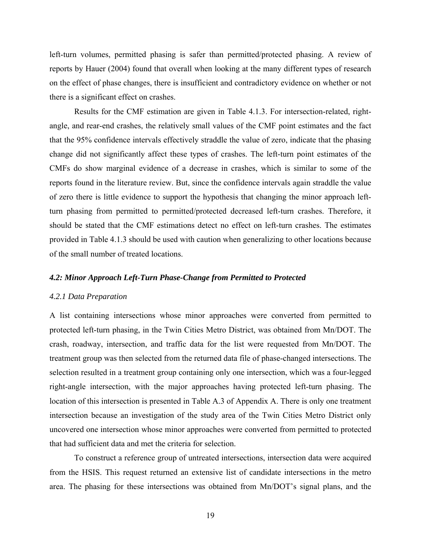left-turn volumes, permitted phasing is safer than permitted/protected phasing. A review of reports by Hauer (2004) found that overall when looking at the many different types of research on the effect of phase changes, there is insufficient and contradictory evidence on whether or not there is a significant effect on crashes.

 Results for the CMF estimation are given in Table 4.1.3. For intersection-related, rightangle, and rear-end crashes, the relatively small values of the CMF point estimates and the fact that the 95% confidence intervals effectively straddle the value of zero, indicate that the phasing change did not significantly affect these types of crashes. The left-turn point estimates of the CMFs do show marginal evidence of a decrease in crashes, which is similar to some of the reports found in the literature review. But, since the confidence intervals again straddle the value of zero there is little evidence to support the hypothesis that changing the minor approach leftturn phasing from permitted to permitted/protected decreased left-turn crashes. Therefore, it should be stated that the CMF estimations detect no effect on left-turn crashes. The estimates provided in Table 4.1.3 should be used with caution when generalizing to other locations because of the small number of treated locations.

#### *4.2: Minor Approach Left-Turn Phase-Change from Permitted to Protected*

#### *4.2.1 Data Preparation*

A list containing intersections whose minor approaches were converted from permitted to protected left-turn phasing, in the Twin Cities Metro District, was obtained from Mn/DOT. The crash, roadway, intersection, and traffic data for the list were requested from Mn/DOT. The treatment group was then selected from the returned data file of phase-changed intersections. The selection resulted in a treatment group containing only one intersection, which was a four-legged right-angle intersection, with the major approaches having protected left-turn phasing. The location of this intersection is presented in Table A.3 of Appendix A. There is only one treatment intersection because an investigation of the study area of the Twin Cities Metro District only uncovered one intersection whose minor approaches were converted from permitted to protected that had sufficient data and met the criteria for selection.

To construct a reference group of untreated intersections, intersection data were acquired from the HSIS. This request returned an extensive list of candidate intersections in the metro area. The phasing for these intersections was obtained from Mn/DOT's signal plans, and the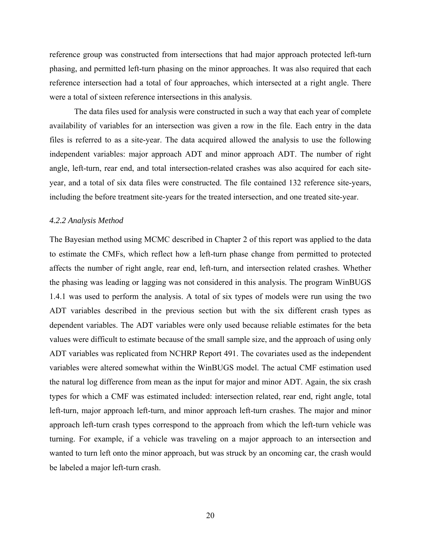reference group was constructed from intersections that had major approach protected left-turn phasing, and permitted left-turn phasing on the minor approaches. It was also required that each reference intersection had a total of four approaches, which intersected at a right angle. There were a total of sixteen reference intersections in this analysis.

The data files used for analysis were constructed in such a way that each year of complete availability of variables for an intersection was given a row in the file. Each entry in the data files is referred to as a site-year. The data acquired allowed the analysis to use the following independent variables: major approach ADT and minor approach ADT. The number of right angle, left-turn, rear end, and total intersection-related crashes was also acquired for each siteyear, and a total of six data files were constructed. The file contained 132 reference site-years, including the before treatment site-years for the treated intersection, and one treated site-year.

#### *4.2.2 Analysis Method*

The Bayesian method using MCMC described in Chapter 2 of this report was applied to the data to estimate the CMFs, which reflect how a left-turn phase change from permitted to protected affects the number of right angle, rear end, left-turn, and intersection related crashes. Whether the phasing was leading or lagging was not considered in this analysis. The program WinBUGS 1.4.1 was used to perform the analysis. A total of six types of models were run using the two ADT variables described in the previous section but with the six different crash types as dependent variables. The ADT variables were only used because reliable estimates for the beta values were difficult to estimate because of the small sample size, and the approach of using only ADT variables was replicated from NCHRP Report 491. The covariates used as the independent variables were altered somewhat within the WinBUGS model. The actual CMF estimation used the natural log difference from mean as the input for major and minor ADT. Again, the six crash types for which a CMF was estimated included: intersection related, rear end, right angle, total left-turn, major approach left-turn, and minor approach left-turn crashes. The major and minor approach left-turn crash types correspond to the approach from which the left-turn vehicle was turning. For example, if a vehicle was traveling on a major approach to an intersection and wanted to turn left onto the minor approach, but was struck by an oncoming car, the crash would be labeled a major left-turn crash.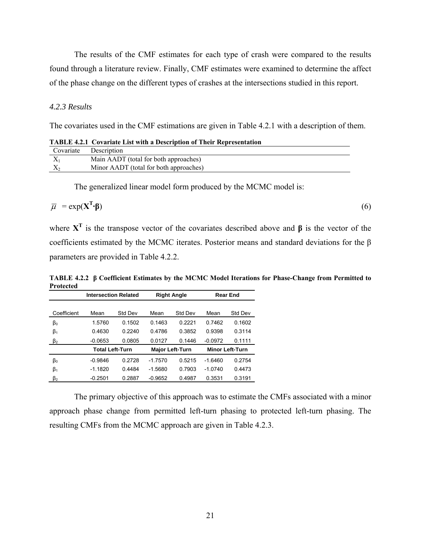The results of the CMF estimates for each type of crash were compared to the results found through a literature review. Finally, CMF estimates were examined to determine the affect of the phase change on the different types of crashes at the intersections studied in this report.

#### *4.2.3 Results*

The covariates used in the CMF estimations are given in Table 4.2.1 with a description of them.

**TABLE 4.2.1 Covariate List with a Description of Their Representation** 

| Covariate | Description                            |
|-----------|----------------------------------------|
|           | Main AADT (total for both approaches)  |
|           | Minor AADT (total for both approaches) |

The generalized linear model form produced by the MCMC model is:

$$
\overline{\mu} = \exp(\mathbf{X}^{\mathrm{T}} \cdot \mathbf{\beta}) \tag{6}
$$

where **XT** is the transpose vector of the covariates described above and **β** is the vector of the coefficients estimated by the MCMC iterates. Posterior means and standard deviations for the β parameters are provided in Table 4.2.2.

**TABLE 4.2.2 β Coefficient Estimates by the MCMC Model Iterations for Phase-Change from Permitted to Protected** 

|             | <b>Intersection Related</b> |         |           | <b>Right Angle</b>     |           | <b>Rear End</b>        |
|-------------|-----------------------------|---------|-----------|------------------------|-----------|------------------------|
|             |                             |         |           |                        |           |                        |
| Coefficient | Mean                        | Std Dev | Mean      | Std Dev                | Mean      | Std Dev                |
| βo          | 1.5760                      | 0.1502  | 0 1463    | 0.2221                 | 0.7462    | 0.1602                 |
| $\beta_1$   | 0.4630                      | 0.2240  | 0.4786    | 0.3852                 | 0.9398    | 0.3114                 |
| $\beta_2$   | $-0.0653$                   | 0.0805  | 0.0127    | 0.1446                 | $-0.0972$ | 0.1111                 |
|             | <b>Total Left-Turn</b>      |         |           | <b>Major Left-Turn</b> |           | <b>Minor Left-Turn</b> |
| $\beta_0$   | $-0.9846$                   | 0.2728  | $-17570$  | 0.5215                 | $-16460$  | 0.2754                 |
| $\beta_1$   | $-1.1820$                   | 0.4484  | $-1.5680$ | 0.7903                 | $-1.0740$ | 0.4473                 |
| $\beta_2$   | $-0.2501$                   | 0.2887  | $-0.9652$ | 0.4987                 | 0.3531    | 0.3191                 |

 The primary objective of this approach was to estimate the CMFs associated with a minor approach phase change from permitted left-turn phasing to protected left-turn phasing. The resulting CMFs from the MCMC approach are given in Table 4.2.3.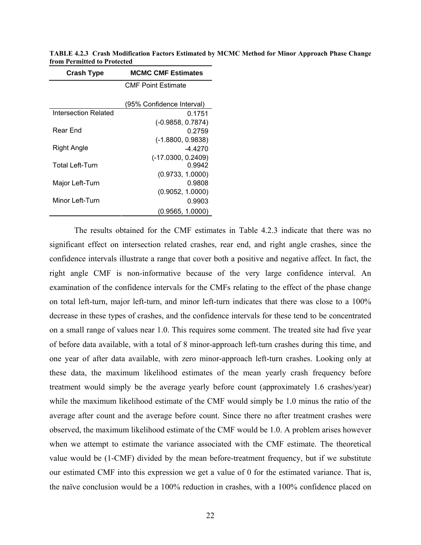| <b>MCMC CMF Estimates</b><br><b>Crash Type</b> |                           |  |  |
|------------------------------------------------|---------------------------|--|--|
|                                                | <b>CMF Point Estimate</b> |  |  |
|                                                |                           |  |  |
|                                                | (95% Confidence Interval) |  |  |
| Intersection Related                           | 0.1751                    |  |  |
|                                                | $(-0.9858, 0.7874)$       |  |  |
| Rear End                                       | 0.2759                    |  |  |
|                                                | $(-1.8800, 0.9838)$       |  |  |
| Right Angle                                    | -4 4270                   |  |  |
|                                                | $(-17.0300, 0.2409)$      |  |  |
| <b>Total Left-Turn</b>                         | 0.9942                    |  |  |
|                                                | (0.9733, 1.0000)          |  |  |
| Major Left-Turn                                | 0.9808                    |  |  |
|                                                | (0.9052, 1.0000)          |  |  |
| Minor Left-Turn                                | 0.9903                    |  |  |
|                                                | (0.9565, 1.0000)          |  |  |

**TABLE 4.2.3 Crash Modification Factors Estimated by MCMC Method for Minor Approach Phase Change from Permitted to Protected** 

 The results obtained for the CMF estimates in Table 4.2.3 indicate that there was no significant effect on intersection related crashes, rear end, and right angle crashes, since the confidence intervals illustrate a range that cover both a positive and negative affect. In fact, the right angle CMF is non-informative because of the very large confidence interval. An examination of the confidence intervals for the CMFs relating to the effect of the phase change on total left-turn, major left-turn, and minor left-turn indicates that there was close to a 100% decrease in these types of crashes, and the confidence intervals for these tend to be concentrated on a small range of values near 1.0. This requires some comment. The treated site had five year of before data available, with a total of 8 minor-approach left-turn crashes during this time, and one year of after data available, with zero minor-approach left-turn crashes. Looking only at these data, the maximum likelihood estimates of the mean yearly crash frequency before treatment would simply be the average yearly before count (approximately 1.6 crashes/year) while the maximum likelihood estimate of the CMF would simply be 1.0 minus the ratio of the average after count and the average before count. Since there no after treatment crashes were observed, the maximum likelihood estimate of the CMF would be 1.0. A problem arises however when we attempt to estimate the variance associated with the CMF estimate. The theoretical value would be (1-CMF) divided by the mean before-treatment frequency, but if we substitute our estimated CMF into this expression we get a value of 0 for the estimated variance. That is, the naïve conclusion would be a 100% reduction in crashes, with a 100% confidence placed on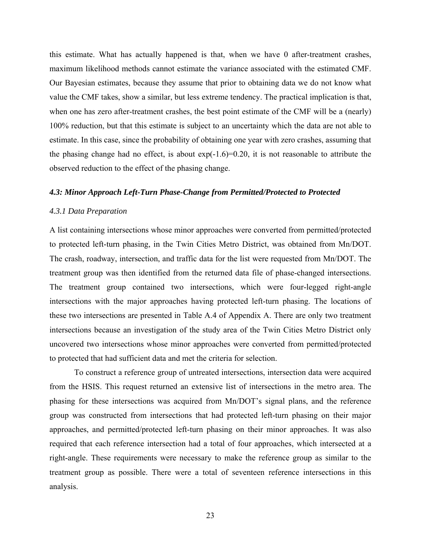this estimate. What has actually happened is that, when we have 0 after-treatment crashes, maximum likelihood methods cannot estimate the variance associated with the estimated CMF. Our Bayesian estimates, because they assume that prior to obtaining data we do not know what value the CMF takes, show a similar, but less extreme tendency. The practical implication is that, when one has zero after-treatment crashes, the best point estimate of the CMF will be a (nearly) 100% reduction, but that this estimate is subject to an uncertainty which the data are not able to estimate. In this case, since the probability of obtaining one year with zero crashes, assuming that the phasing change had no effect, is about  $exp(-1.6)=0.20$ , it is not reasonable to attribute the observed reduction to the effect of the phasing change.

#### *4.3: Minor Approach Left-Turn Phase-Change from Permitted/Protected to Protected*

#### *4.3.1 Data Preparation*

A list containing intersections whose minor approaches were converted from permitted/protected to protected left-turn phasing, in the Twin Cities Metro District, was obtained from Mn/DOT. The crash, roadway, intersection, and traffic data for the list were requested from Mn/DOT. The treatment group was then identified from the returned data file of phase-changed intersections. The treatment group contained two intersections, which were four-legged right-angle intersections with the major approaches having protected left-turn phasing. The locations of these two intersections are presented in Table A.4 of Appendix A. There are only two treatment intersections because an investigation of the study area of the Twin Cities Metro District only uncovered two intersections whose minor approaches were converted from permitted/protected to protected that had sufficient data and met the criteria for selection.

To construct a reference group of untreated intersections, intersection data were acquired from the HSIS. This request returned an extensive list of intersections in the metro area. The phasing for these intersections was acquired from Mn/DOT's signal plans, and the reference group was constructed from intersections that had protected left-turn phasing on their major approaches, and permitted/protected left-turn phasing on their minor approaches. It was also required that each reference intersection had a total of four approaches, which intersected at a right-angle. These requirements were necessary to make the reference group as similar to the treatment group as possible. There were a total of seventeen reference intersections in this analysis.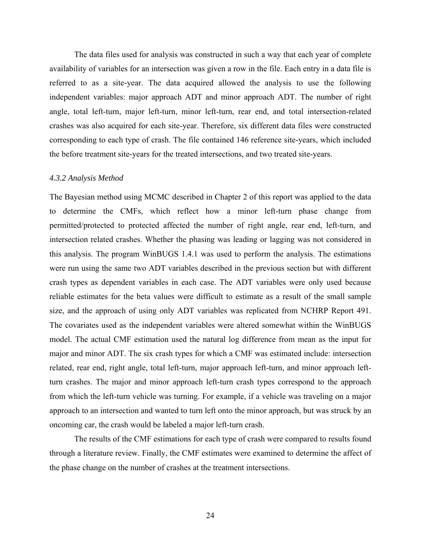The data files used for analysis was constructed in such a way that each year of complete availability of variables for an intersection was given a row in the file. Each entry in a data file is referred to as a site-year. The data acquired allowed the analysis to use the following independent variables: major approach ADT and minor approach ADT. The number of right angle, total left-turn, major left-turn, minor left-turn, rear end, and total intersection-related crashes was also acquired for each site-year. Therefore, six different data files were constructed corresponding to each type of crash. The file contained 146 reference site-years, which included the before treatment site-years for the treated intersections, and two treated site-years.

#### *4.3.2 Analysis Method*

The Bayesian method using MCMC described in Chapter 2 of this report was applied to the data to determine the CMFs, which reflect how a minor left-turn phase change from permitted/protected to protected affected the number of right angle, rear end, left-turn, and intersection related crashes. Whether the phasing was leading or lagging was not considered in this analysis. The program WinBUGS 1.4.1 was used to perform the analysis. The estimations were run using the same two ADT variables described in the previous section but with different crash types as dependent variables in each case. The ADT variables were only used because reliable estimates for the beta values were difficult to estimate as a result of the small sample size, and the approach of using only ADT variables was replicated from NCHRP Report 491. The covariates used as the independent variables were altered somewhat within the WinBUGS model. The actual CMF estimation used the natural log difference from mean as the input for major and minor ADT. The six crash types for which a CMF was estimated include: intersection related, rear end, right angle, total left-turn, major approach left-turn, and minor approach leftturn crashes. The major and minor approach left-turn crash types correspond to the approach from which the left-turn vehicle was turning. For example, if a vehicle was traveling on a major approach to an intersection and wanted to turn left onto the minor approach, but was struck by an oncoming car, the crash would be labeled a major left-turn crash.

 The results of the CMF estimations for each type of crash were compared to results found through a literature review. Finally, the CMF estimates were examined to determine the affect of the phase change on the number of crashes at the treatment intersections.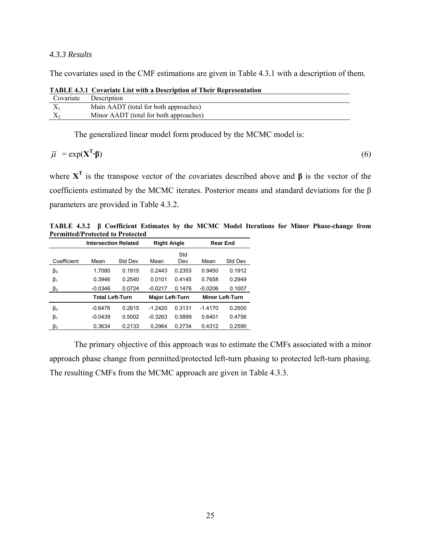#### *4.3.3 Results*

The covariates used in the CMF estimations are given in Table 4.3.1 with a description of them.

| Covariate | Description                            |
|-----------|----------------------------------------|
|           | Main AADT (total for both approaches)  |
|           | Minor AADT (total for both approaches) |

**TABLE 4.3.1 Covariate List with a Description of Their Representation** 

The generalized linear model form produced by the MCMC model is:

$$
\overline{\mu} = \exp(\mathbf{X}^{\mathrm{T}} \cdot \mathbf{\beta}) \tag{6}
$$

where **XT** is the transpose vector of the covariates described above and **β** is the vector of the coefficients estimated by the MCMC iterates. Posterior means and standard deviations for the β parameters are provided in Table 4.3.2.

**TABLE 4.3.2 β Coefficient Estimates by the MCMC Model Iterations for Minor Phase-change from Permitted/Protected to Protected** 

|             | <b>Intersection Related</b> |         | <b>Right Angle</b>     |            |           | <b>Rear End</b>        |
|-------------|-----------------------------|---------|------------------------|------------|-----------|------------------------|
| Coefficient | Mean                        | Std Dev | Mean                   | Std<br>Dev | Mean      | Std Dev                |
| $\beta_0$   | 1.7080                      | 0 1915  | 0 2443                 | 0.2353     | 0.9450    | 0.1912                 |
| $\beta_1$   | 0.3946                      | 0.2540  | 0.0101                 | 0.4145     | 0.7658    | 0.2949                 |
| $\beta_2$   | $-0.0346$                   | 0.0724  | $-0.0217$              | 0.1476     | $-0.0206$ | 0.1007                 |
|             | <b>Total Left-Turn</b>      |         | <b>Major Left-Turn</b> |            |           | <b>Minor Left-Turn</b> |
| $\beta_0$   | $-0.6476$                   | 0.2615  | $-12420$               | 0.3131     | $-1.4170$ | 0.2500                 |
| $\beta_1$   | $-0.0439$                   | 0.5002  | $-0.3263$              | 0.5899     | 0.6401    | 0.4756                 |
| $\beta_2$   | 0.3634                      | 0.2133  | 0.2964                 | 0.2734     | 0.4312    | 0.2590                 |

 The primary objective of this approach was to estimate the CMFs associated with a minor approach phase change from permitted/protected left-turn phasing to protected left-turn phasing. The resulting CMFs from the MCMC approach are given in Table 4.3.3.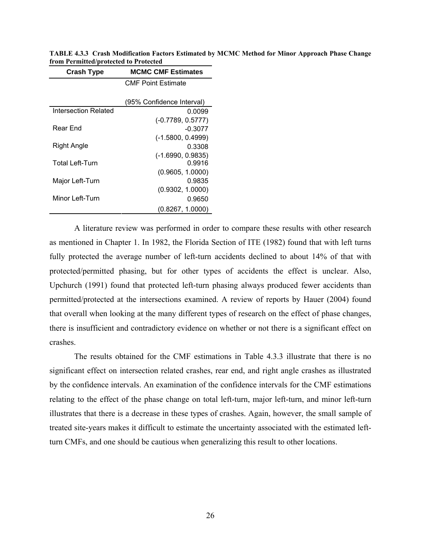|                             | <b>CMF Point Estimate</b> |
|-----------------------------|---------------------------|
|                             | (95% Confidence Interval) |
| <b>Intersection Related</b> | 0.0099                    |
|                             | $(-0.7789, 0.5777)$       |
| Rear End                    | $-0.3077$                 |
|                             | $(-1.5800, 0.4999)$       |
| Right Angle                 | 0.3308                    |
|                             | $(-1.6990, 0.9835)$       |
| <b>Total Left-Turn</b>      | 0.9916                    |
|                             | (0.9605, 1.0000)          |
| Major Left-Turn             | 0.9835                    |
|                             | (0.9302, 1.0000)          |
| Minor Left-Turn             | 0.9650                    |
|                             | (0.8267, 1.0000)          |

**Crash Type MCMC CMF Estimates** 

**TABLE 4.3.3 Crash Modification Factors Estimated by MCMC Method for Minor Approach Phase Change from Permitted/protected to Protected** 

 A literature review was performed in order to compare these results with other research as mentioned in Chapter 1. In 1982, the Florida Section of ITE (1982) found that with left turns fully protected the average number of left-turn accidents declined to about 14% of that with protected/permitted phasing, but for other types of accidents the effect is unclear. Also, Upchurch (1991) found that protected left-turn phasing always produced fewer accidents than permitted/protected at the intersections examined. A review of reports by Hauer (2004) found that overall when looking at the many different types of research on the effect of phase changes, there is insufficient and contradictory evidence on whether or not there is a significant effect on crashes.

 The results obtained for the CMF estimations in Table 4.3.3 illustrate that there is no significant effect on intersection related crashes, rear end, and right angle crashes as illustrated by the confidence intervals. An examination of the confidence intervals for the CMF estimations relating to the effect of the phase change on total left-turn, major left-turn, and minor left-turn illustrates that there is a decrease in these types of crashes. Again, however, the small sample of treated site-years makes it difficult to estimate the uncertainty associated with the estimated leftturn CMFs, and one should be cautious when generalizing this result to other locations.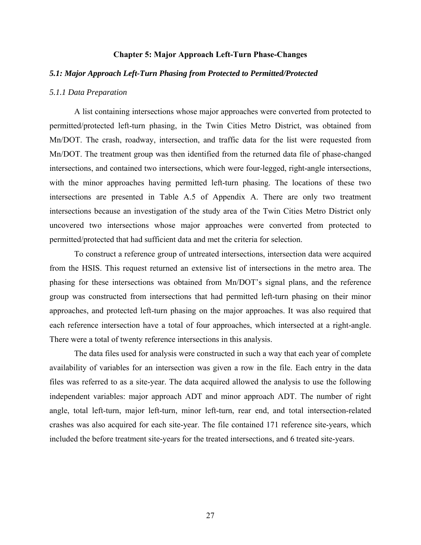#### **Chapter 5: Major Approach Left-Turn Phase-Changes**

#### *5.1: Major Approach Left-Turn Phasing from Protected to Permitted/Protected*

#### *5.1.1 Data Preparation*

A list containing intersections whose major approaches were converted from protected to permitted/protected left-turn phasing, in the Twin Cities Metro District, was obtained from Mn/DOT. The crash, roadway, intersection, and traffic data for the list were requested from Mn/DOT. The treatment group was then identified from the returned data file of phase-changed intersections, and contained two intersections, which were four-legged, right-angle intersections, with the minor approaches having permitted left-turn phasing. The locations of these two intersections are presented in Table A.5 of Appendix A. There are only two treatment intersections because an investigation of the study area of the Twin Cities Metro District only uncovered two intersections whose major approaches were converted from protected to permitted/protected that had sufficient data and met the criteria for selection.

To construct a reference group of untreated intersections, intersection data were acquired from the HSIS. This request returned an extensive list of intersections in the metro area. The phasing for these intersections was obtained from Mn/DOT's signal plans, and the reference group was constructed from intersections that had permitted left-turn phasing on their minor approaches, and protected left-turn phasing on the major approaches. It was also required that each reference intersection have a total of four approaches, which intersected at a right-angle. There were a total of twenty reference intersections in this analysis.

The data files used for analysis were constructed in such a way that each year of complete availability of variables for an intersection was given a row in the file. Each entry in the data files was referred to as a site-year. The data acquired allowed the analysis to use the following independent variables: major approach ADT and minor approach ADT. The number of right angle, total left-turn, major left-turn, minor left-turn, rear end, and total intersection-related crashes was also acquired for each site-year. The file contained 171 reference site-years, which included the before treatment site-years for the treated intersections, and 6 treated site-years.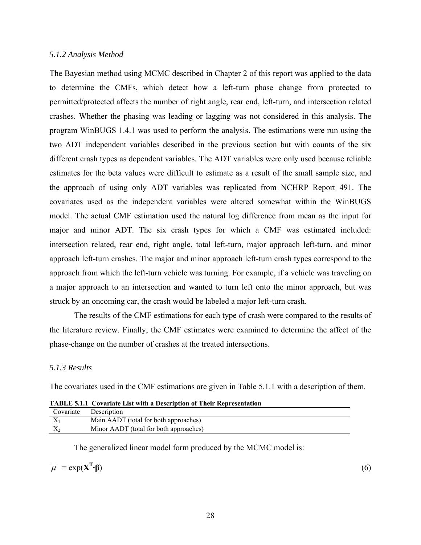#### *5.1.2 Analysis Method*

The Bayesian method using MCMC described in Chapter 2 of this report was applied to the data to determine the CMFs, which detect how a left-turn phase change from protected to permitted/protected affects the number of right angle, rear end, left-turn, and intersection related crashes. Whether the phasing was leading or lagging was not considered in this analysis. The program WinBUGS 1.4.1 was used to perform the analysis. The estimations were run using the two ADT independent variables described in the previous section but with counts of the six different crash types as dependent variables. The ADT variables were only used because reliable estimates for the beta values were difficult to estimate as a result of the small sample size, and the approach of using only ADT variables was replicated from NCHRP Report 491. The covariates used as the independent variables were altered somewhat within the WinBUGS model. The actual CMF estimation used the natural log difference from mean as the input for major and minor ADT. The six crash types for which a CMF was estimated included: intersection related, rear end, right angle, total left-turn, major approach left-turn, and minor approach left-turn crashes. The major and minor approach left-turn crash types correspond to the approach from which the left-turn vehicle was turning. For example, if a vehicle was traveling on a major approach to an intersection and wanted to turn left onto the minor approach, but was struck by an oncoming car, the crash would be labeled a major left-turn crash.

 The results of the CMF estimations for each type of crash were compared to the results of the literature review. Finally, the CMF estimates were examined to determine the affect of the phase-change on the number of crashes at the treated intersections.

#### *5.1.3 Results*

The covariates used in the CMF estimations are given in Table 5.1.1 with a description of them.

|           | <b>TABLE 5.1.1 COVATIATE LIST WITH A DESCRIPTION OF THEIR REPRESENTATION</b> |
|-----------|------------------------------------------------------------------------------|
| Covariate | Description                                                                  |
| $X_1$     | Main AADT (total for both approaches)                                        |
| $X_{2}$   | Minor AADT (total for both approaches)                                       |

**TABLE 5.1.1 Covariate List with a Description of Their Representation** 

The generalized linear model form produced by the MCMC model is:

$$
\overline{\mu} = \exp(X^T \cdot \beta)
$$

**·β**) (6)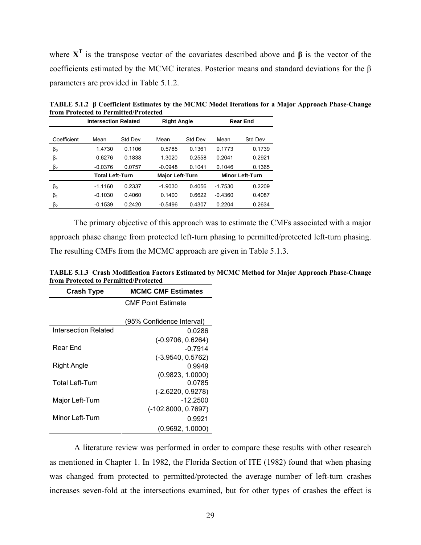where **XT** is the transpose vector of the covariates described above and **β** is the vector of the coefficients estimated by the MCMC iterates. Posterior means and standard deviations for the β parameters are provided in Table 5.1.2.

|             | n om i rotecteu to i ermitteu/i rotecteu |         |                        |         |                 |                        |
|-------------|------------------------------------------|---------|------------------------|---------|-----------------|------------------------|
|             | <b>Intersection Related</b>              |         | <b>Right Angle</b>     |         | <b>Rear End</b> |                        |
|             |                                          |         |                        |         |                 |                        |
| Coefficient | Mean                                     | Std Dev | Mean                   | Std Dev | Mean            | Std Dev                |
| $\beta_0$   | 1.4730                                   | 0.1106  | 0.5785                 | 0.1361  | 0.1773          | 0.1739                 |
| $\beta_1$   | 0.6276                                   | 0.1838  | 1.3020                 | 0.2558  | 0.2041          | 0.2921                 |
| $\beta_2$   | $-0.0376$                                | 0.0757  | $-0.0948$              | 0.1041  | 0.1046          | 0.1365                 |
|             | <b>Total Left-Turn</b>                   |         | <b>Major Left-Turn</b> |         |                 | <b>Minor Left-Turn</b> |
| $\beta_0$   | $-1.1160$                                | 0.2337  | $-1.9030$              | 0.4056  | $-1.7530$       | 0.2209                 |
| $\beta_1$   | $-0.1030$                                | 0.4060  | 0.1400                 | 0.6622  | $-0.4360$       | 0.4087                 |
| $\beta_2$   | $-0.1539$                                | 0.2420  | $-0.5496$              | 0.4307  | 0.2204          | 0.2634                 |

**TABLE 5.1.2 β Coefficient Estimates by the MCMC Model Iterations for a Major Approach Phase-Change from Protected to Permitted/Protected** 

 The primary objective of this approach was to estimate the CMFs associated with a major approach phase change from protected left-turn phasing to permitted/protected left-turn phasing. The resulting CMFs from the MCMC approach are given in Table 5.1.3.

**TABLE 5.1.3 Crash Modification Factors Estimated by MCMC Method for Major Approach Phase-Change from Protected to Permitted/Protected** 

| <b>MCMC CMF Estimates</b><br><b>Crash Type</b> |                           |  |  |
|------------------------------------------------|---------------------------|--|--|
|                                                | <b>CMF Point Estimate</b> |  |  |
|                                                |                           |  |  |
|                                                | (95% Confidence Interval) |  |  |
| Intersection Related                           | 0.0286                    |  |  |
|                                                | $(-0.9706, 0.6264)$       |  |  |
| Rear End                                       | $-0.7914$                 |  |  |
|                                                | $(-3.9540, 0.5762)$       |  |  |
| Right Angle                                    | 0.9949                    |  |  |
|                                                | (0.9823, 1.0000)          |  |  |
| <b>Total Left-Turn</b>                         | 0.0785                    |  |  |
|                                                | $(-2.6220, 0.9278)$       |  |  |
| Major Left-Turn                                | $-12.2500$                |  |  |
|                                                | $(-102.8000, 0.7697)$     |  |  |
| Minor Left-Turn                                | 0.9921                    |  |  |
|                                                | (0.9692, 1.0000)          |  |  |

 A literature review was performed in order to compare these results with other research as mentioned in Chapter 1. In 1982, the Florida Section of ITE (1982) found that when phasing was changed from protected to permitted/protected the average number of left-turn crashes increases seven-fold at the intersections examined, but for other types of crashes the effect is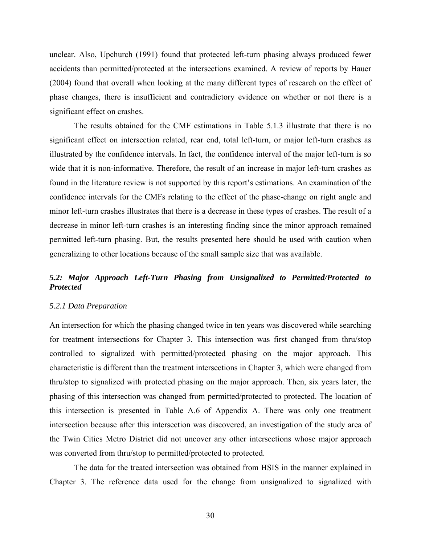unclear. Also, Upchurch (1991) found that protected left-turn phasing always produced fewer accidents than permitted/protected at the intersections examined. A review of reports by Hauer (2004) found that overall when looking at the many different types of research on the effect of phase changes, there is insufficient and contradictory evidence on whether or not there is a significant effect on crashes.

 The results obtained for the CMF estimations in Table 5.1.3 illustrate that there is no significant effect on intersection related, rear end, total left-turn, or major left-turn crashes as illustrated by the confidence intervals. In fact, the confidence interval of the major left-turn is so wide that it is non-informative. Therefore, the result of an increase in major left-turn crashes as found in the literature review is not supported by this report's estimations. An examination of the confidence intervals for the CMFs relating to the effect of the phase-change on right angle and minor left-turn crashes illustrates that there is a decrease in these types of crashes. The result of a decrease in minor left-turn crashes is an interesting finding since the minor approach remained permitted left-turn phasing. But, the results presented here should be used with caution when generalizing to other locations because of the small sample size that was available.

#### *5.2: Major Approach Left-Turn Phasing from Unsignalized to Permitted/Protected to Protected*

#### *5.2.1 Data Preparation*

An intersection for which the phasing changed twice in ten years was discovered while searching for treatment intersections for Chapter 3. This intersection was first changed from thru/stop controlled to signalized with permitted/protected phasing on the major approach. This characteristic is different than the treatment intersections in Chapter 3, which were changed from thru/stop to signalized with protected phasing on the major approach. Then, six years later, the phasing of this intersection was changed from permitted/protected to protected. The location of this intersection is presented in Table A.6 of Appendix A. There was only one treatment intersection because after this intersection was discovered, an investigation of the study area of the Twin Cities Metro District did not uncover any other intersections whose major approach was converted from thru/stop to permitted/protected to protected.

 The data for the treated intersection was obtained from HSIS in the manner explained in Chapter 3. The reference data used for the change from unsignalized to signalized with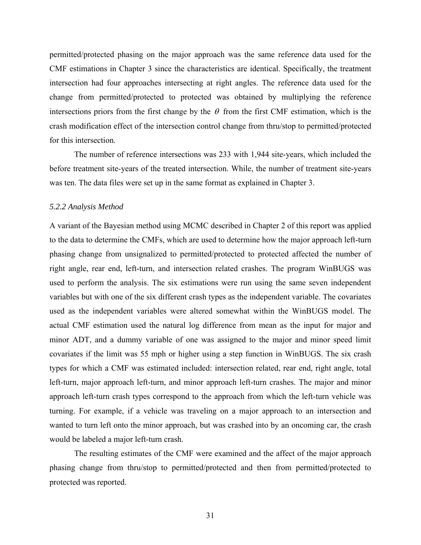permitted/protected phasing on the major approach was the same reference data used for the CMF estimations in Chapter 3 since the characteristics are identical. Specifically, the treatment intersection had four approaches intersecting at right angles. The reference data used for the change from permitted/protected to protected was obtained by multiplying the reference intersections priors from the first change by the  $\theta$  from the first CMF estimation, which is the crash modification effect of the intersection control change from thru/stop to permitted/protected for this intersection.

 The number of reference intersections was 233 with 1,944 site-years, which included the before treatment site-years of the treated intersection. While, the number of treatment site-years was ten. The data files were set up in the same format as explained in Chapter 3.

#### *5.2.2 Analysis Method*

A variant of the Bayesian method using MCMC described in Chapter 2 of this report was applied to the data to determine the CMFs, which are used to determine how the major approach left-turn phasing change from unsignalized to permitted/protected to protected affected the number of right angle, rear end, left-turn, and intersection related crashes. The program WinBUGS was used to perform the analysis. The six estimations were run using the same seven independent variables but with one of the six different crash types as the independent variable. The covariates used as the independent variables were altered somewhat within the WinBUGS model. The actual CMF estimation used the natural log difference from mean as the input for major and minor ADT, and a dummy variable of one was assigned to the major and minor speed limit covariates if the limit was 55 mph or higher using a step function in WinBUGS. The six crash types for which a CMF was estimated included: intersection related, rear end, right angle, total left-turn, major approach left-turn, and minor approach left-turn crashes. The major and minor approach left-turn crash types correspond to the approach from which the left-turn vehicle was turning. For example, if a vehicle was traveling on a major approach to an intersection and wanted to turn left onto the minor approach, but was crashed into by an oncoming car, the crash would be labeled a major left-turn crash.

The resulting estimates of the CMF were examined and the affect of the major approach phasing change from thru/stop to permitted/protected and then from permitted/protected to protected was reported.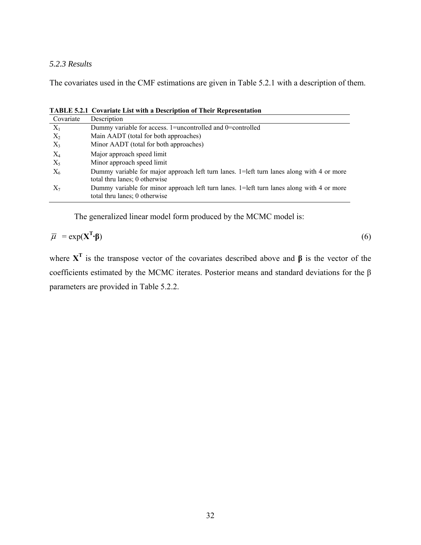#### *5.2.3 Results*

The covariates used in the CMF estimations are given in Table 5.2.1 with a description of them.

Covariate Description  $X_1$  Dummy variable for access. 1=uncontrolled and 0=controlled  $X_2$  Main AADT (total for both approaches)<br> $X_3$  Minor AADT (total for both approaches) Minor AADT (total for both approaches) X4 Major approach speed limit X5 Minor approach speed limit  $X_6$  Dummy variable for major approach left turn lanes. 1=left turn lanes along with 4 or more total thru lanes; 0 otherwise  $X_7$  Dummy variable for minor approach left turn lanes. 1=left turn lanes along with 4 or more total thru lanes; 0 otherwise

**TABLE 5.2.1 Covariate List with a Description of Their Representation** 

The generalized linear model form produced by the MCMC model is:

$$
\overline{\mu} = \exp(\mathbf{X}^{\mathrm{T}} \cdot \mathbf{\beta}) \tag{6}
$$

where **XT** is the transpose vector of the covariates described above and **β** is the vector of the coefficients estimated by the MCMC iterates. Posterior means and standard deviations for the β parameters are provided in Table 5.2.2.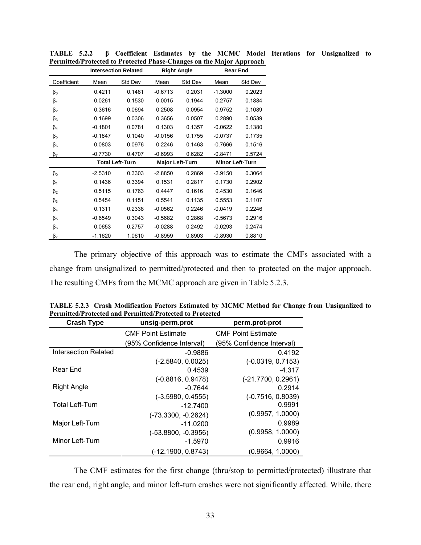|                      |           | <b>Intersection Related</b> |           | <b>Right Angle</b>     |           | <b>Rear End</b>        |
|----------------------|-----------|-----------------------------|-----------|------------------------|-----------|------------------------|
| Coefficient          | Mean      | Std Dev                     | Mean      | Std Dev                | Mean      | Std Dev                |
| $\beta_0$            | 0.4211    | 0.1481                      | $-0.6713$ | 0.2031                 | $-1.3000$ | 0.2023                 |
| $\beta_1$            | 0.0261    | 0.1530                      | 0.0015    | 0.1944                 | 0.2757    | 0.1884                 |
| $\beta_2$            | 0.3616    | 0.0694                      | 0.2508    | 0.0954                 | 0.9752    | 0.1089                 |
| $\beta_3$            | 0.1699    | 0.0306                      | 0.3656    | 0.0507                 | 0.2890    | 0.0539                 |
| $\beta_4$            | $-0.1801$ | 0.0781                      | 0.1303    | 0.1357                 | $-0.0622$ | 0.1380                 |
| $\beta_{5}$          | $-0.1847$ | 0.1040                      | $-0.0156$ | 0.1755                 | $-0.0737$ | 0.1735                 |
| $\beta_6$            | 0.0803    | 0.0976                      | 0.2246    | 0.1463                 | $-0.7666$ | 0.1516                 |
| $\beta$ <sub>7</sub> | $-0.7730$ | 0.4707                      | $-0.6993$ | 0.6282                 | $-0.8471$ | 0.5724                 |
|                      |           | <b>Total Left-Turn</b>      |           | <b>Major Left-Turn</b> |           | <b>Minor Left-Turn</b> |
| $\beta_0$            | $-2.5310$ | 0.3303                      | $-2.8850$ | 0.2869                 | $-2.9150$ | 0.3064                 |
| $\beta_1$            | 0.1436    | 0.3394                      | 0.1531    | 0.2817                 | 0.1730    | 0.2902                 |
| $\beta_2$            | 0.5115    | 0.1763                      | 0.4447    | 0.1616                 | 0.4530    | 0.1646                 |
| $\beta_3$            | 0.5454    | 0.1151                      | 0.5541    | 0.1135                 | 0.5553    | 0.1107                 |
| $\beta_4$            | 0.1311    | 0.2338                      | $-0.0562$ | 0.2246                 | $-0.0419$ | 0.2246                 |
| $\beta_{5}$          | $-0.6549$ | 0.3043                      | $-0.5682$ | 0.2868                 | $-0.5673$ | 0.2916                 |
| $\beta_6$            | 0.0653    | 0.2757                      | $-0.0288$ | 0.2492                 | $-0.0293$ | 0.2474                 |
| $\beta$              | $-1.1620$ | 1.0610                      | $-0.8959$ | 0.8903                 | -0.8930   | 0.8810                 |

**TABLE 5.2.2 β Coefficient Estimates by the MCMC Model Iterations for Unsignalized to Permitted/Protected to Protected Phase-Changes on the Major Approach** 

The primary objective of this approach was to estimate the CMFs associated with a change from unsignalized to permitted/protected and then to protected on the major approach. The resulting CMFs from the MCMC approach are given in Table 5.2.3.

| <b>Crash Type</b>           | unsig-perm.prot           | perm.prot-prot            |  |
|-----------------------------|---------------------------|---------------------------|--|
|                             | <b>CMF Point Estimate</b> | <b>CMF Point Estimate</b> |  |
|                             | (95% Confidence Interval) | (95% Confidence Interval) |  |
| <b>Intersection Related</b> | $-0.9886$                 | 0.4192                    |  |
|                             | $(-2.5840, 0.0025)$       | $(-0.0319, 0.7153)$       |  |
| Rear End                    | 0.4539                    | $-4.317$                  |  |
|                             | (-0.8816, 0.9478)         | $(-21.7700, 0.2961)$      |  |
| <b>Right Angle</b>          | $-0.7644$                 | 0.2914                    |  |
|                             | $(-3.5980, 0.4555)$       | $(-0.7516, 0.8039)$       |  |
| <b>Total Left-Turn</b>      | $-12.7400$                | 0.9991                    |  |
|                             | $(-73.3300, -0.2624)$     | (0.9957, 1.0000)          |  |
| Major Left-Turn             | $-11.0200$                | 0.9989                    |  |
|                             | $(-53.8800, -0.3956)$     | (0.9958, 1.0000)          |  |
| Minor Left-Turn             | $-1.5970$                 | 0.9916                    |  |
|                             | (-12.1900, 0.8743)        | (0.9664, 1.0000)          |  |

**TABLE 5.2.3 Crash Modification Factors Estimated by MCMC Method for Change from Unsignalized to Permitted/Protected and Permitted/Protected to Protected** 

The CMF estimates for the first change (thru/stop to permitted/protected) illustrate that the rear end, right angle, and minor left-turn crashes were not significantly affected. While, there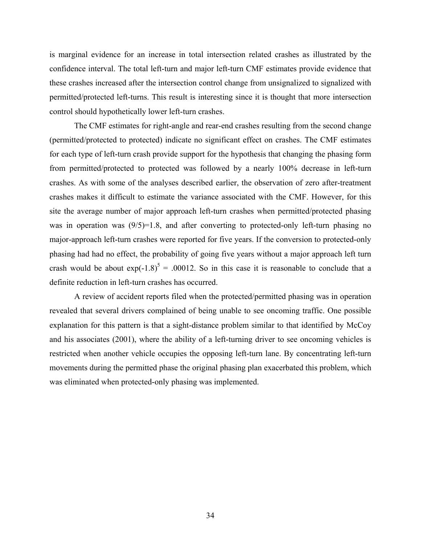is marginal evidence for an increase in total intersection related crashes as illustrated by the confidence interval. The total left-turn and major left-turn CMF estimates provide evidence that these crashes increased after the intersection control change from unsignalized to signalized with permitted/protected left-turns. This result is interesting since it is thought that more intersection control should hypothetically lower left-turn crashes.

 The CMF estimates for right-angle and rear-end crashes resulting from the second change (permitted/protected to protected) indicate no significant effect on crashes. The CMF estimates for each type of left-turn crash provide support for the hypothesis that changing the phasing form from permitted/protected to protected was followed by a nearly 100% decrease in left-turn crashes. As with some of the analyses described earlier, the observation of zero after-treatment crashes makes it difficult to estimate the variance associated with the CMF. However, for this site the average number of major approach left-turn crashes when permitted/protected phasing was in operation was  $(9/5)=1.8$ , and after converting to protected-only left-turn phasing no major-approach left-turn crashes were reported for five years. If the conversion to protected-only phasing had had no effect, the probability of going five years without a major approach left turn crash would be about  $exp(-1.8)^5 = .00012$ . So in this case it is reasonable to conclude that a definite reduction in left-turn crashes has occurred.

 A review of accident reports filed when the protected/permitted phasing was in operation revealed that several drivers complained of being unable to see oncoming traffic. One possible explanation for this pattern is that a sight-distance problem similar to that identified by McCoy and his associates (2001), where the ability of a left-turning driver to see oncoming vehicles is restricted when another vehicle occupies the opposing left-turn lane. By concentrating left-turn movements during the permitted phase the original phasing plan exacerbated this problem, which was eliminated when protected-only phasing was implemented.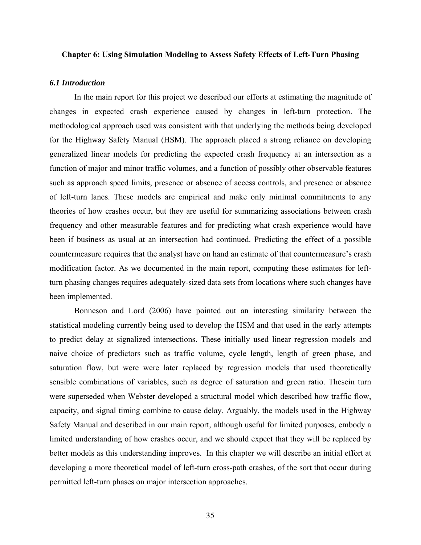#### **Chapter 6: Using Simulation Modeling to Assess Safety Effects of Left-Turn Phasing**

#### *6.1 Introduction*

In the main report for this project we described our efforts at estimating the magnitude of changes in expected crash experience caused by changes in left-turn protection. The methodological approach used was consistent with that underlying the methods being developed for the Highway Safety Manual (HSM). The approach placed a strong reliance on developing generalized linear models for predicting the expected crash frequency at an intersection as a function of major and minor traffic volumes, and a function of possibly other observable features such as approach speed limits, presence or absence of access controls, and presence or absence of left-turn lanes. These models are empirical and make only minimal commitments to any theories of how crashes occur, but they are useful for summarizing associations between crash frequency and other measurable features and for predicting what crash experience would have been if business as usual at an intersection had continued. Predicting the effect of a possible countermeasure requires that the analyst have on hand an estimate of that countermeasure's crash modification factor. As we documented in the main report, computing these estimates for leftturn phasing changes requires adequately-sized data sets from locations where such changes have been implemented.

 Bonneson and Lord (2006) have pointed out an interesting similarity between the statistical modeling currently being used to develop the HSM and that used in the early attempts to predict delay at signalized intersections. These initially used linear regression models and naive choice of predictors such as traffic volume, cycle length, length of green phase, and saturation flow, but were were later replaced by regression models that used theoretically sensible combinations of variables, such as degree of saturation and green ratio. Thesein turn were superseded when Webster developed a structural model which described how traffic flow, capacity, and signal timing combine to cause delay. Arguably, the models used in the Highway Safety Manual and described in our main report, although useful for limited purposes, embody a limited understanding of how crashes occur, and we should expect that they will be replaced by better models as this understanding improves. In this chapter we will describe an initial effort at developing a more theoretical model of left-turn cross-path crashes, of the sort that occur during permitted left-turn phases on major intersection approaches.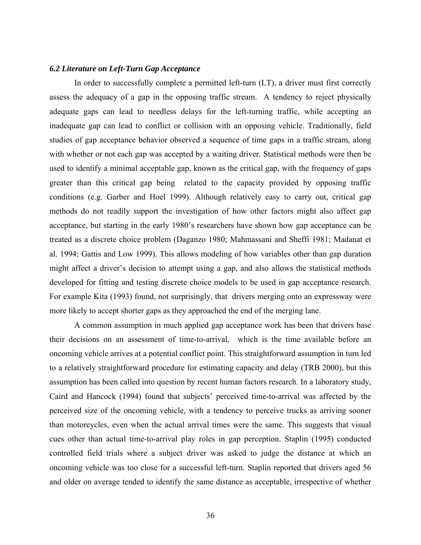#### *6.2 Literature on Left-Turn Gap Acceptance*

 In order to successfully complete a permitted left-turn (LT), a driver must first correctly assess the adequacy of a gap in the opposing traffic stream. A tendency to reject physically adequate gaps can lead to needless delays for the left-turning traffic, while accepting an inadequate gap can lead to conflict or collision with an opposing vehicle. Traditionally, field studies of gap acceptance behavior observed a sequence of time gaps in a traffic stream, along with whether or not each gap was accepted by a waiting driver. Statistical methods were then be used to identify a minimal acceptable gap, known as the critical gap, with the frequency of gaps greater than this critical gap being related to the capacity provided by opposing traffic conditions (e.g. Garber and Hoel 1999). Although relatively easy to carry out, critical gap methods do not readily support the investigation of how other factors might also affect gap acceptance, but starting in the early 1980's researchers have shown how gap acceptance can be treated as a discrete choice problem (Daganzo 1980; Mahmassani and Sheffi 1981; Madanat et al. 1994; Gattis and Low 1999). This allows modeling of how variables other than gap duration might affect a driver's decision to attempt using a gap, and also allows the statistical methods developed for fitting and testing discrete choice models to be used in gap acceptance research. For example Kita (1993) found, not surprisingly, that drivers merging onto an expressway were more likely to accept shorter gaps as they approached the end of the merging lane.

 A common assumption in much applied gap acceptance work has been that drivers base their decisions on an assessment of time-to-arrival, which is the time available before an oncoming vehicle arrives at a potential conflict point. This straightforward assumption in turn led to a relatively straightforward procedure for estimating capacity and delay (TRB 2000), but this assumption has been called into question by recent human factors research. In a laboratory study, Caird and Hancock (1994) found that subjects' perceived time-to-arrival was affected by the perceived size of the oncoming vehicle, with a tendency to perceive trucks as arriving sooner than motorcycles, even when the actual arrival times were the same. This suggests that visual cues other than actual time-to-arrival play roles in gap perception. Staplin (1995) conducted controlled field trials where a subject driver was asked to judge the distance at which an oncoming vehicle was too close for a successful left-turn. Staplin reported that drivers aged 56 and older on average tended to identify the same distance as acceptable, irrespective of whether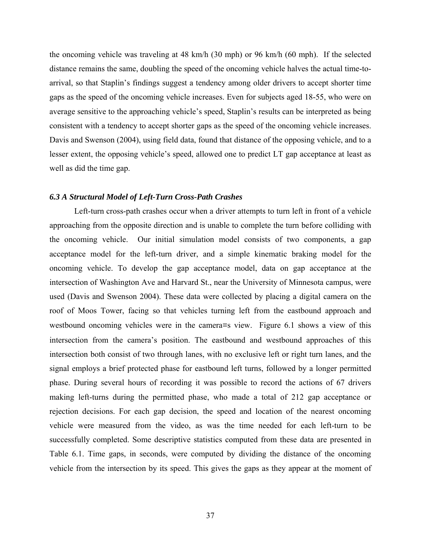the oncoming vehicle was traveling at 48 km/h (30 mph) or 96 km/h (60 mph). If the selected distance remains the same, doubling the speed of the oncoming vehicle halves the actual time-toarrival, so that Staplin's findings suggest a tendency among older drivers to accept shorter time gaps as the speed of the oncoming vehicle increases. Even for subjects aged 18-55, who were on average sensitive to the approaching vehicle's speed, Staplin's results can be interpreted as being consistent with a tendency to accept shorter gaps as the speed of the oncoming vehicle increases. Davis and Swenson (2004), using field data, found that distance of the opposing vehicle, and to a lesser extent, the opposing vehicle's speed, allowed one to predict LT gap acceptance at least as well as did the time gap.

#### *6.3 A Structural Model of Left-Turn Cross-Path Crashes*

 Left-turn cross-path crashes occur when a driver attempts to turn left in front of a vehicle approaching from the opposite direction and is unable to complete the turn before colliding with the oncoming vehicle. Our initial simulation model consists of two components, a gap acceptance model for the left-turn driver, and a simple kinematic braking model for the oncoming vehicle. To develop the gap acceptance model, data on gap acceptance at the intersection of Washington Ave and Harvard St., near the University of Minnesota campus, were used (Davis and Swenson 2004). These data were collected by placing a digital camera on the roof of Moos Tower, facing so that vehicles turning left from the eastbound approach and westbound oncoming vehicles were in the camera=s view. Figure 6.1 shows a view of this intersection from the camera's position. The eastbound and westbound approaches of this intersection both consist of two through lanes, with no exclusive left or right turn lanes, and the signal employs a brief protected phase for eastbound left turns, followed by a longer permitted phase. During several hours of recording it was possible to record the actions of 67 drivers making left-turns during the permitted phase, who made a total of 212 gap acceptance or rejection decisions. For each gap decision, the speed and location of the nearest oncoming vehicle were measured from the video, as was the time needed for each left-turn to be successfully completed. Some descriptive statistics computed from these data are presented in Table 6.1. Time gaps, in seconds, were computed by dividing the distance of the oncoming vehicle from the intersection by its speed. This gives the gaps as they appear at the moment of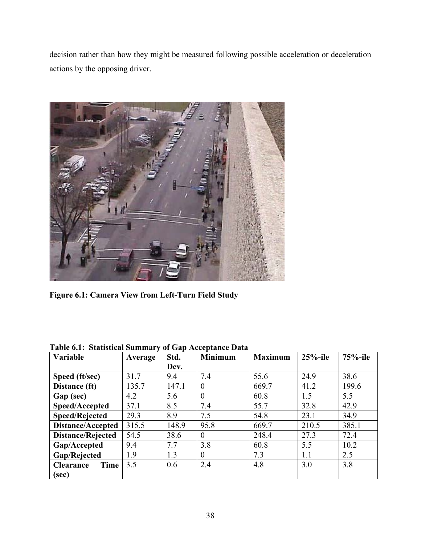decision rather than how they might be measured following possible acceleration or deceleration actions by the opposing driver.



**Figure 6.1: Camera View from Left-Turn Field Study** 

| Variable                 | Average | Std.  | <b>Minimum</b> | <b>Maximum</b> | $25%$ -ile | $75%$ -ile |
|--------------------------|---------|-------|----------------|----------------|------------|------------|
|                          |         | Dev.  |                |                |            |            |
| Speed (ft/sec)           | 31.7    | 9.4   | 7.4            | 55.6           | 24.9       | 38.6       |
| Distance (ft)            | 135.7   | 147.1 | $\theta$       | 669.7          | 41.2       | 199.6      |
| Gap (sec)                | 4.2     | 5.6   | $\theta$       | 60.8           | 1.5        | 5.5        |
| Speed/Accepted           | 37.1    | 8.5   | 7.4            | 55.7           | 32.8       | 42.9       |
| <b>Speed/Rejected</b>    | 29.3    | 8.9   | 7.5            | 54.8           | 23.1       | 34.9       |
| <b>Distance/Accepted</b> | 315.5   | 148.9 | 95.8           | 669.7          | 210.5      | 385.1      |
| <b>Distance/Rejected</b> | 54.5    | 38.6  | $\theta$       | 248.4          | 27.3       | 72.4       |
| Gap/Accepted             | 9.4     | 7.7   | 3.8            | 60.8           | 5.5        | 10.2       |
| Gap/Rejected             | 1.9     | 1.3   | $\theta$       | 7.3            | 1.1        | 2.5        |
| Time<br><b>Clearance</b> | 3.5     | 0.6   | 2.4            | 4.8            | 3.0        | 3.8        |
| (sec)                    |         |       |                |                |            |            |

**Table 6.1: Statistical Summary of Gap Acceptance Data**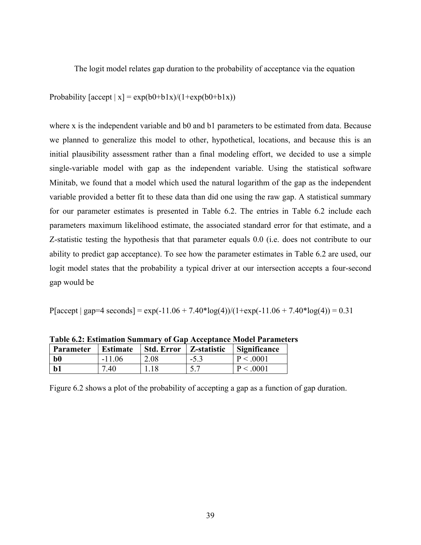The logit model relates gap duration to the probability of acceptance via the equation

Probability  $[\text{accept} \mid x] = \exp(b0+b1x)/(1+\exp(b0+b1x))$ 

where x is the independent variable and b0 and b1 parameters to be estimated from data. Because we planned to generalize this model to other, hypothetical, locations, and because this is an initial plausibility assessment rather than a final modeling effort, we decided to use a simple single-variable model with gap as the independent variable. Using the statistical software Minitab, we found that a model which used the natural logarithm of the gap as the independent variable provided a better fit to these data than did one using the raw gap. A statistical summary for our parameter estimates is presented in Table 6.2. The entries in Table 6.2 include each parameters maximum likelihood estimate, the associated standard error for that estimate, and a Z-statistic testing the hypothesis that that parameter equals 0.0 (i.e. does not contribute to our ability to predict gap acceptance). To see how the parameter estimates in Table 6.2 are used, our logit model states that the probability a typical driver at our intersection accepts a four-second gap would be

P[accept | gap=4 seconds] = exp(-11.06 + 7.40\*log(4))/(1+exp(-11.06 + 7.40\*log(4)) = 0.31

| <b>Parameter</b> | <b>Estimate</b> | Std. Error | Z-statistic | Significance |
|------------------|-----------------|------------|-------------|--------------|
| $b0$             | $-11.06$        | 2.08       | $-5.3$      | P < .0001    |
| $b1$             | 7.40            | 1.18       | 5.7         | P < .0001    |

**Table 6.2: Estimation Summary of Gap Acceptance Model Parameters** 

Figure 6.2 shows a plot of the probability of accepting a gap as a function of gap duration.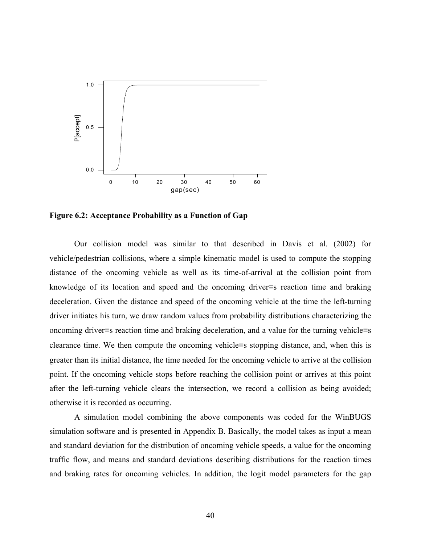

**Figure 6.2: Acceptance Probability as a Function of Gap**

 Our collision model was similar to that described in Davis et al. (2002) for vehicle/pedestrian collisions, where a simple kinematic model is used to compute the stopping distance of the oncoming vehicle as well as its time-of-arrival at the collision point from knowledge of its location and speed and the oncoming driver=s reaction time and braking deceleration. Given the distance and speed of the oncoming vehicle at the time the left-turning driver initiates his turn, we draw random values from probability distributions characterizing the oncoming driver=s reaction time and braking deceleration, and a value for the turning vehicle=s clearance time. We then compute the oncoming vehicle=s stopping distance, and, when this is greater than its initial distance, the time needed for the oncoming vehicle to arrive at the collision point. If the oncoming vehicle stops before reaching the collision point or arrives at this point after the left-turning vehicle clears the intersection, we record a collision as being avoided; otherwise it is recorded as occurring.

 A simulation model combining the above components was coded for the WinBUGS simulation software and is presented in Appendix B. Basically, the model takes as input a mean and standard deviation for the distribution of oncoming vehicle speeds, a value for the oncoming traffic flow, and means and standard deviations describing distributions for the reaction times and braking rates for oncoming vehicles. In addition, the logit model parameters for the gap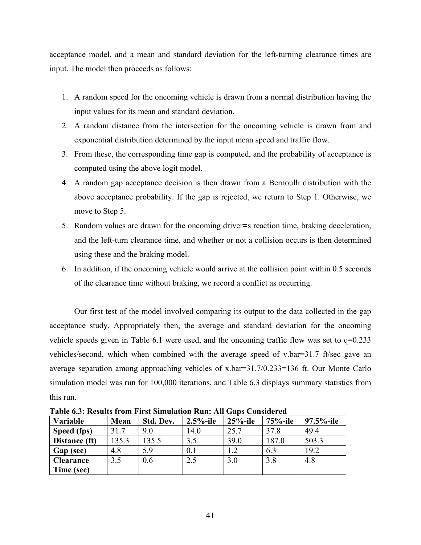acceptance model, and a mean and standard deviation for the left-turning clearance times are input. The model then proceeds as follows:

- 1. A random speed for the oncoming vehicle is drawn from a normal distribution having the input values for its mean and standard deviation.
- 2. A random distance from the intersection for the oncoming vehicle is drawn from and exponential distribution determined by the input mean speed and traffic flow.
- 3. From these, the corresponding time gap is computed, and the probability of acceptance is computed using the above logit model.
- 4. A random gap acceptance decision is then drawn from a Bernoulli distribution with the above acceptance probability. If the gap is rejected, we return to Step 1. Otherwise, we move to Step 5.
- 5. Random values are drawn for the oncoming driver=s reaction time, braking deceleration, and the left-turn clearance time, and whether or not a collision occurs is then determined using these and the braking model.
- 6. In addition, if the oncoming vehicle would arrive at the collision point within 0.5 seconds of the clearance time without braking, we record a conflict as occurring.

 Our first test of the model involved comparing its output to the data collected in the gap acceptance study. Appropriately then, the average and standard deviation for the oncoming vehicle speeds given in Table 6.1 were used, and the oncoming traffic flow was set to q=0.233 vehicles/second, which when combined with the average speed of v.bar=31.7 ft/sec gave an average separation among approaching vehicles of x.bar=31.7/0.233=136 ft. Our Monte Carlo simulation model was run for 100,000 iterations, and Table 6.3 displays summary statistics from this run.

| Variable         | Mean  | Std. Dev. | $2.5%$ -ile | $25%$ -ile | 75%-ile | 97.5%-ile |
|------------------|-------|-----------|-------------|------------|---------|-----------|
| Speed (fps)      | 31.7  | 9.0       | 14.0        | 25.7       | 37.8    | 49.4      |
| Distance (ft)    | 135.3 | 135.5     | 3.5         | 39.0       | 187.0   | 503.3     |
| Gap (sec)        | 4.8   | 5.9       | 0.1         | 1.2        | 6.3     | 19.2      |
| <b>Clearance</b> | 3.5   | 0.6       | 2.5         | 3.0        | 3.8     | 4.8       |
| Time (sec)       |       |           |             |            |         |           |

**Table 6.3: Results from First Simulation Run: All Gans Considered**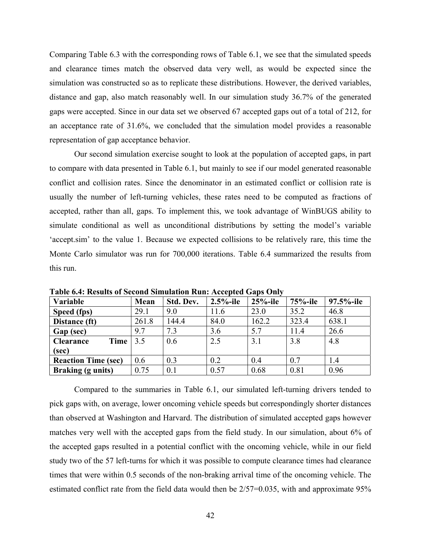Comparing Table 6.3 with the corresponding rows of Table 6.1, we see that the simulated speeds and clearance times match the observed data very well, as would be expected since the simulation was constructed so as to replicate these distributions. However, the derived variables, distance and gap, also match reasonably well. In our simulation study 36.7% of the generated gaps were accepted. Since in our data set we observed 67 accepted gaps out of a total of 212, for an acceptance rate of 31.6%, we concluded that the simulation model provides a reasonable representation of gap acceptance behavior.

 Our second simulation exercise sought to look at the population of accepted gaps, in part to compare with data presented in Table 6.1, but mainly to see if our model generated reasonable conflict and collision rates. Since the denominator in an estimated conflict or collision rate is usually the number of left-turning vehicles, these rates need to be computed as fractions of accepted, rather than all, gaps. To implement this, we took advantage of WinBUGS ability to simulate conditional as well as unconditional distributions by setting the model's variable 'accept.sim' to the value 1. Because we expected collisions to be relatively rare, this time the Monte Carlo simulator was run for 700,000 iterations. Table 6.4 summarized the results from this run.

| Variable                   | Mean  | Std. Dev. | $2.5%$ -ile | $25%$ -ile | 75%-ile | 97.5%-ile |
|----------------------------|-------|-----------|-------------|------------|---------|-----------|
| Speed (fps)                | 29.1  | 9.0       | 11.6        | 23.0       | 35.2    | 46.8      |
| Distance (ft)              | 261.8 | 144.4     | 84.0        | 162.2      | 323.4   | 638.1     |
| Gap (sec)                  | 9.7   | 7.3       | 3.6         | 5.7        | 11.4    | 26.6      |
| <b>Clearance</b><br>Time   | 3.5   | 0.6       | 2.5         | 3.1        | 3.8     | 4.8       |
| (sec)                      |       |           |             |            |         |           |
| <b>Reaction Time (sec)</b> | 0.6   | 0.3       | 0.2         | 0.4        | 0.7     | 1.4       |
| <b>Braking (g units)</b>   | 0.75  | 0.1       | 0.57        | 0.68       | 0.81    | 0.96      |

**Table 6.4: Results of Second Simulation Run: Accepted Gaps Only** 

 Compared to the summaries in Table 6.1, our simulated left-turning drivers tended to pick gaps with, on average, lower oncoming vehicle speeds but correspondingly shorter distances than observed at Washington and Harvard. The distribution of simulated accepted gaps however matches very well with the accepted gaps from the field study. In our simulation, about 6% of the accepted gaps resulted in a potential conflict with the oncoming vehicle, while in our field study two of the 57 left-turns for which it was possible to compute clearance times had clearance times that were within 0.5 seconds of the non-braking arrival time of the oncoming vehicle. The estimated conflict rate from the field data would then be 2/57=0.035, with and approximate 95%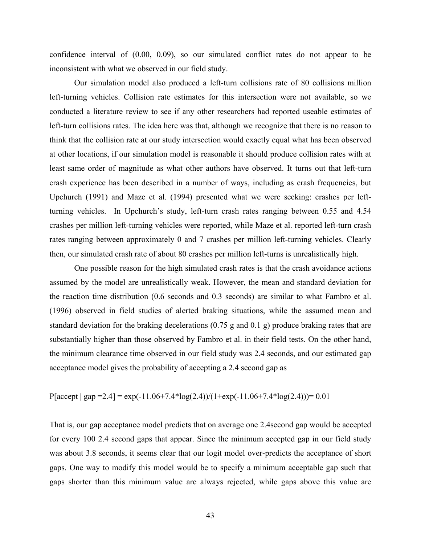confidence interval of (0.00, 0.09), so our simulated conflict rates do not appear to be inconsistent with what we observed in our field study.

 Our simulation model also produced a left-turn collisions rate of 80 collisions million left-turning vehicles. Collision rate estimates for this intersection were not available, so we conducted a literature review to see if any other researchers had reported useable estimates of left-turn collisions rates. The idea here was that, although we recognize that there is no reason to think that the collision rate at our study intersection would exactly equal what has been observed at other locations, if our simulation model is reasonable it should produce collision rates with at least same order of magnitude as what other authors have observed. It turns out that left-turn crash experience has been described in a number of ways, including as crash frequencies, but Upchurch (1991) and Maze et al. (1994) presented what we were seeking: crashes per leftturning vehicles. In Upchurch's study, left-turn crash rates ranging between 0.55 and 4.54 crashes per million left-turning vehicles were reported, while Maze et al. reported left-turn crash rates ranging between approximately 0 and 7 crashes per million left-turning vehicles. Clearly then, our simulated crash rate of about 80 crashes per million left-turns is unrealistically high.

 One possible reason for the high simulated crash rates is that the crash avoidance actions assumed by the model are unrealistically weak. However, the mean and standard deviation for the reaction time distribution (0.6 seconds and 0.3 seconds) are similar to what Fambro et al. (1996) observed in field studies of alerted braking situations, while the assumed mean and standard deviation for the braking decelerations (0.75 g and 0.1 g) produce braking rates that are substantially higher than those observed by Fambro et al. in their field tests. On the other hand, the minimum clearance time observed in our field study was 2.4 seconds, and our estimated gap acceptance model gives the probability of accepting a 2.4 second gap as

$$
P[accept | gap = 2.4] = exp(-11.06 + 7.4 * log(2.4)) / (1 + exp(-11.06 + 7.4 * log(2.4))) = 0.01
$$

That is, our gap acceptance model predicts that on average one 2.4second gap would be accepted for every 100 2.4 second gaps that appear. Since the minimum accepted gap in our field study was about 3.8 seconds, it seems clear that our logit model over-predicts the acceptance of short gaps. One way to modify this model would be to specify a minimum acceptable gap such that gaps shorter than this minimum value are always rejected, while gaps above this value are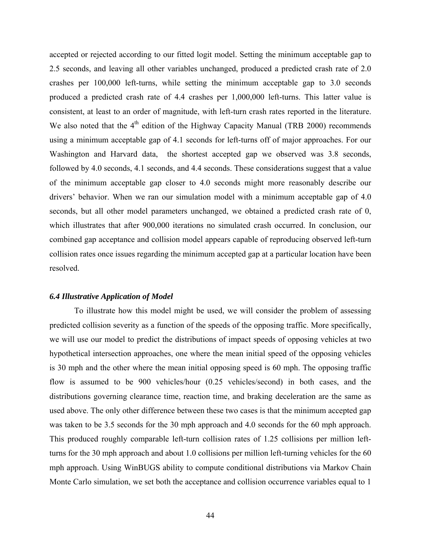accepted or rejected according to our fitted logit model. Setting the minimum acceptable gap to 2.5 seconds, and leaving all other variables unchanged, produced a predicted crash rate of 2.0 crashes per 100,000 left-turns, while setting the minimum acceptable gap to 3.0 seconds produced a predicted crash rate of 4.4 crashes per 1,000,000 left-turns. This latter value is consistent, at least to an order of magnitude, with left-turn crash rates reported in the literature. We also noted that the  $4<sup>th</sup>$  edition of the Highway Capacity Manual (TRB 2000) recommends using a minimum acceptable gap of 4.1 seconds for left-turns off of major approaches. For our Washington and Harvard data, the shortest accepted gap we observed was 3.8 seconds, followed by 4.0 seconds, 4.1 seconds, and 4.4 seconds. These considerations suggest that a value of the minimum acceptable gap closer to 4.0 seconds might more reasonably describe our drivers' behavior. When we ran our simulation model with a minimum acceptable gap of 4.0 seconds, but all other model parameters unchanged, we obtained a predicted crash rate of 0, which illustrates that after 900,000 iterations no simulated crash occurred. In conclusion, our combined gap acceptance and collision model appears capable of reproducing observed left-turn collision rates once issues regarding the minimum accepted gap at a particular location have been resolved.

#### *6.4 Illustrative Application of Model*

 To illustrate how this model might be used, we will consider the problem of assessing predicted collision severity as a function of the speeds of the opposing traffic. More specifically, we will use our model to predict the distributions of impact speeds of opposing vehicles at two hypothetical intersection approaches, one where the mean initial speed of the opposing vehicles is 30 mph and the other where the mean initial opposing speed is 60 mph. The opposing traffic flow is assumed to be 900 vehicles/hour (0.25 vehicles/second) in both cases, and the distributions governing clearance time, reaction time, and braking deceleration are the same as used above. The only other difference between these two cases is that the minimum accepted gap was taken to be 3.5 seconds for the 30 mph approach and 4.0 seconds for the 60 mph approach. This produced roughly comparable left-turn collision rates of 1.25 collisions per million leftturns for the 30 mph approach and about 1.0 collisions per million left-turning vehicles for the 60 mph approach. Using WinBUGS ability to compute conditional distributions via Markov Chain Monte Carlo simulation, we set both the acceptance and collision occurrence variables equal to 1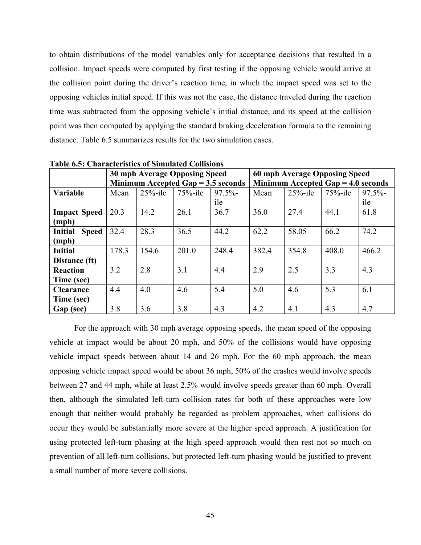to obtain distributions of the model variables only for acceptance decisions that resulted in a collision. Impact speeds were computed by first testing if the opposing vehicle would arrive at the collision point during the driver's reaction time, in which the impact speed was set to the opposing vehicles initial speed. If this was not the case, the distance traveled during the reaction time was subtracted from the opposing vehicle's initial distance, and its speed at the collision point was then computed by applying the standard braking deceleration formula to the remaining distance. Table 6.5 summarizes results for the two simulation cases.

| таріс д.э. Спатасіствік допуніціації Сонімпі |       |                                      |            |       |                               |            |                                      |       |  |
|----------------------------------------------|-------|--------------------------------------|------------|-------|-------------------------------|------------|--------------------------------------|-------|--|
|                                              |       | 30 mph Average Opposing Speed        |            |       | 60 mph Average Opposing Speed |            |                                      |       |  |
|                                              |       | Minimum Accepted Gap $= 3.5$ seconds |            |       |                               |            | Minimum Accepted Gap $=$ 4.0 seconds |       |  |
| Variable                                     | Mean  | $25%$ -ile                           | $75%$ -ile | 97.5% | Mean                          | $25%$ -ile | $75%$ -ile                           | 97.5% |  |
|                                              |       |                                      |            | ile   |                               |            |                                      | ile   |  |
| <b>Impact Speed</b>                          | 20.3  | 14.2                                 | 26.1       | 36.7  | 36.0                          | 27.4       | 44.1                                 | 61.8  |  |
| (mph)                                        |       |                                      |            |       |                               |            |                                      |       |  |
| <b>Initial</b><br><b>Speed</b>               | 32.4  | 28.3                                 | 36.5       | 44.2  | 62.2                          | 58.05      | 66.2                                 | 74.2  |  |
| (mph)                                        |       |                                      |            |       |                               |            |                                      |       |  |
| <b>Initial</b>                               | 178.3 | 154.6                                | 201.0      | 248.4 | 382.4                         | 354.8      | 408.0                                | 466.2 |  |
| Distance (ft)                                |       |                                      |            |       |                               |            |                                      |       |  |
| <b>Reaction</b>                              | 3.2   | 2.8                                  | 3.1        | 4.4   | 2.9                           | 2.5        | 3.3                                  | 4.3   |  |
| Time (sec)                                   |       |                                      |            |       |                               |            |                                      |       |  |
| <b>Clearance</b>                             | 4.4   | 4.0                                  | 4.6        | 5.4   | 5.0                           | 4.6        | 5.3                                  | 6.1   |  |
| Time (sec)                                   |       |                                      |            |       |                               |            |                                      |       |  |
| Gap (sec)                                    | 3.8   | 3.6                                  | 3.8        | 4.3   | 4.2                           | 4.1        | 4.3                                  | 4.7   |  |

**Table 6.5: Characteristics of Simulated Collisions** 

 For the approach with 30 mph average opposing speeds, the mean speed of the opposing vehicle at impact would be about 20 mph, and 50% of the collisions would have opposing vehicle impact speeds between about 14 and 26 mph. For the 60 mph approach, the mean opposing vehicle impact speed would be about 36 mph, 50% of the crashes would involve speeds between 27 and 44 mph, while at least 2.5% would involve speeds greater than 60 mph. Overall then, although the simulated left-turn collision rates for both of these approaches were low enough that neither would probably be regarded as problem approaches, when collisions do occur they would be substantially more severe at the higher speed approach. A justification for using protected left-turn phasing at the high speed approach would then rest not so much on prevention of all left-turn collisions, but protected left-turn phasing would be justified to prevent a small number of more severe collisions.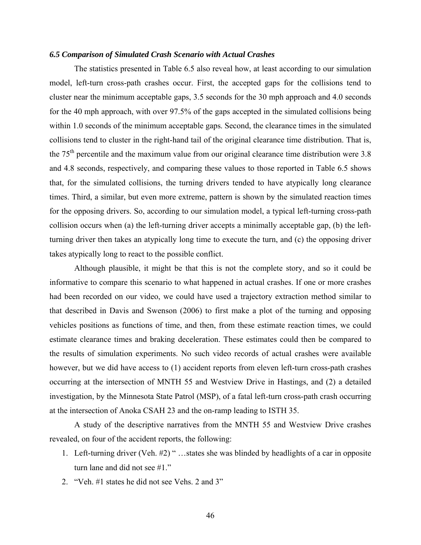#### *6.5 Comparison of Simulated Crash Scenario with Actual Crashes*

 The statistics presented in Table 6.5 also reveal how, at least according to our simulation model, left-turn cross-path crashes occur. First, the accepted gaps for the collisions tend to cluster near the minimum acceptable gaps, 3.5 seconds for the 30 mph approach and 4.0 seconds for the 40 mph approach, with over 97.5% of the gaps accepted in the simulated collisions being within 1.0 seconds of the minimum acceptable gaps. Second, the clearance times in the simulated collisions tend to cluster in the right-hand tail of the original clearance time distribution. That is, the  $75<sup>th</sup>$  percentile and the maximum value from our original clearance time distribution were 3.8 and 4.8 seconds, respectively, and comparing these values to those reported in Table 6.5 shows that, for the simulated collisions, the turning drivers tended to have atypically long clearance times. Third, a similar, but even more extreme, pattern is shown by the simulated reaction times for the opposing drivers. So, according to our simulation model, a typical left-turning cross-path collision occurs when (a) the left-turning driver accepts a minimally acceptable gap, (b) the leftturning driver then takes an atypically long time to execute the turn, and (c) the opposing driver takes atypically long to react to the possible conflict.

 Although plausible, it might be that this is not the complete story, and so it could be informative to compare this scenario to what happened in actual crashes. If one or more crashes had been recorded on our video, we could have used a trajectory extraction method similar to that described in Davis and Swenson (2006) to first make a plot of the turning and opposing vehicles positions as functions of time, and then, from these estimate reaction times, we could estimate clearance times and braking deceleration. These estimates could then be compared to the results of simulation experiments. No such video records of actual crashes were available however, but we did have access to (1) accident reports from eleven left-turn cross-path crashes occurring at the intersection of MNTH 55 and Westview Drive in Hastings, and (2) a detailed investigation, by the Minnesota State Patrol (MSP), of a fatal left-turn cross-path crash occurring at the intersection of Anoka CSAH 23 and the on-ramp leading to ISTH 35.

 A study of the descriptive narratives from the MNTH 55 and Westview Drive crashes revealed, on four of the accident reports, the following:

- 1. Left-turning driver (Veh. #2) " …states she was blinded by headlights of a car in opposite turn lane and did not see #1."
- 2. "Veh. #1 states he did not see Vehs. 2 and 3"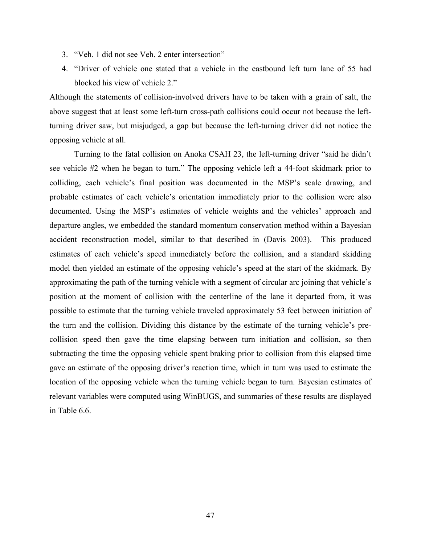- 3. "Veh. 1 did not see Veh. 2 enter intersection"
- 4. "Driver of vehicle one stated that a vehicle in the eastbound left turn lane of 55 had blocked his view of vehicle 2."

Although the statements of collision-involved drivers have to be taken with a grain of salt, the above suggest that at least some left-turn cross-path collisions could occur not because the leftturning driver saw, but misjudged, a gap but because the left-turning driver did not notice the opposing vehicle at all.

 Turning to the fatal collision on Anoka CSAH 23, the left-turning driver "said he didn't see vehicle #2 when he began to turn." The opposing vehicle left a 44-foot skidmark prior to colliding, each vehicle's final position was documented in the MSP's scale drawing, and probable estimates of each vehicle's orientation immediately prior to the collision were also documented. Using the MSP's estimates of vehicle weights and the vehicles' approach and departure angles, we embedded the standard momentum conservation method within a Bayesian accident reconstruction model, similar to that described in (Davis 2003). This produced estimates of each vehicle's speed immediately before the collision, and a standard skidding model then yielded an estimate of the opposing vehicle's speed at the start of the skidmark. By approximating the path of the turning vehicle with a segment of circular arc joining that vehicle's position at the moment of collision with the centerline of the lane it departed from, it was possible to estimate that the turning vehicle traveled approximately 53 feet between initiation of the turn and the collision. Dividing this distance by the estimate of the turning vehicle's precollision speed then gave the time elapsing between turn initiation and collision, so then subtracting the time the opposing vehicle spent braking prior to collision from this elapsed time gave an estimate of the opposing driver's reaction time, which in turn was used to estimate the location of the opposing vehicle when the turning vehicle began to turn. Bayesian estimates of relevant variables were computed using WinBUGS, and summaries of these results are displayed in Table 6.6.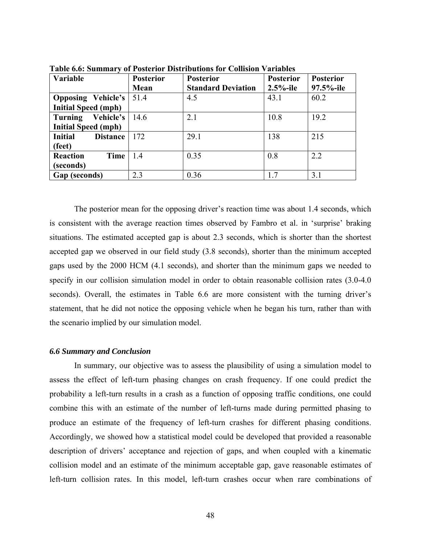| Variable                          | <b>Posterior</b> | <b>Posterior</b>          | <b>Posterior</b> | <b>Posterior</b> |
|-----------------------------------|------------------|---------------------------|------------------|------------------|
|                                   | Mean             | <b>Standard Deviation</b> | $2.5%$ -ile      | 97.5%-ile        |
| <b>Opposing Vehicle's</b>         | 51.4             | 4.5                       | 43.1             | 60.2             |
| <b>Initial Speed (mph)</b>        |                  |                           |                  |                  |
| Vehicle's<br><b>Turning</b>       | 14.6             | 2.1                       | 10.8             | 19.2             |
| <b>Initial Speed (mph)</b>        |                  |                           |                  |                  |
| <b>Initial</b><br><b>Distance</b> | 172              | 29.1                      | 138              | 215              |
| (feet)                            |                  |                           |                  |                  |
| <b>Reaction</b><br>Time           | 1.4              | 0.35                      | 0.8              | 2.2              |
| (seconds)                         |                  |                           |                  |                  |
| Gap (seconds)                     | 2.3              | 0.36                      | 17               | 3.1              |

**Table 6.6: Summary of Posterior Distributions for Collision Variables** 

 The posterior mean for the opposing driver's reaction time was about 1.4 seconds, which is consistent with the average reaction times observed by Fambro et al. in 'surprise' braking situations. The estimated accepted gap is about 2.3 seconds, which is shorter than the shortest accepted gap we observed in our field study (3.8 seconds), shorter than the minimum accepted gaps used by the 2000 HCM (4.1 seconds), and shorter than the minimum gaps we needed to specify in our collision simulation model in order to obtain reasonable collision rates  $(3.0-4.0)$ seconds). Overall, the estimates in Table 6.6 are more consistent with the turning driver's statement, that he did not notice the opposing vehicle when he began his turn, rather than with the scenario implied by our simulation model.

#### *6.6 Summary and Conclusion*

 In summary, our objective was to assess the plausibility of using a simulation model to assess the effect of left-turn phasing changes on crash frequency. If one could predict the probability a left-turn results in a crash as a function of opposing traffic conditions, one could combine this with an estimate of the number of left-turns made during permitted phasing to produce an estimate of the frequency of left-turn crashes for different phasing conditions. Accordingly, we showed how a statistical model could be developed that provided a reasonable description of drivers' acceptance and rejection of gaps, and when coupled with a kinematic collision model and an estimate of the minimum acceptable gap, gave reasonable estimates of left-turn collision rates. In this model, left-turn crashes occur when rare combinations of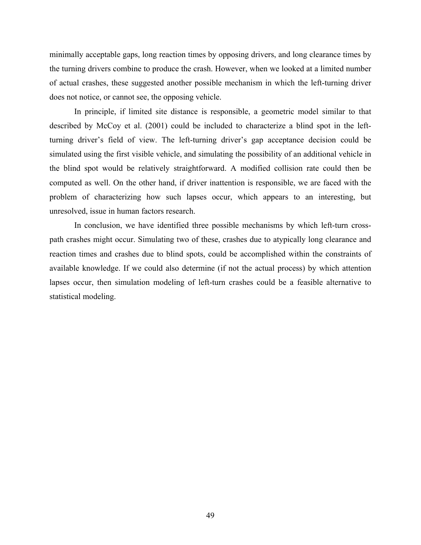minimally acceptable gaps, long reaction times by opposing drivers, and long clearance times by the turning drivers combine to produce the crash. However, when we looked at a limited number of actual crashes, these suggested another possible mechanism in which the left-turning driver does not notice, or cannot see, the opposing vehicle.

 In principle, if limited site distance is responsible, a geometric model similar to that described by McCoy et al. (2001) could be included to characterize a blind spot in the leftturning driver's field of view. The left-turning driver's gap acceptance decision could be simulated using the first visible vehicle, and simulating the possibility of an additional vehicle in the blind spot would be relatively straightforward. A modified collision rate could then be computed as well. On the other hand, if driver inattention is responsible, we are faced with the problem of characterizing how such lapses occur, which appears to an interesting, but unresolved, issue in human factors research.

 In conclusion, we have identified three possible mechanisms by which left-turn crosspath crashes might occur. Simulating two of these, crashes due to atypically long clearance and reaction times and crashes due to blind spots, could be accomplished within the constraints of available knowledge. If we could also determine (if not the actual process) by which attention lapses occur, then simulation modeling of left-turn crashes could be a feasible alternative to statistical modeling.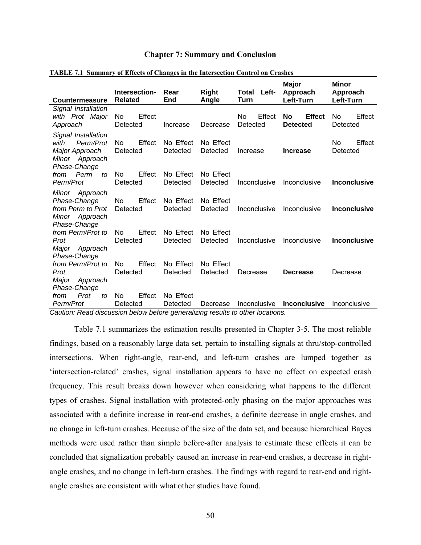#### **Chapter 7: Summary and Conclusion**

| <b>Countermeasure</b>                                                                        | Intersection-<br><b>Related</b> | Rear<br>End           | <b>Right</b><br>Angle | Left-<br>Total<br>Turn          | <b>Major</b><br>Approach<br>Left-Turn  | <b>Minor</b><br>Approach<br>Left-Turn |
|----------------------------------------------------------------------------------------------|---------------------------------|-----------------------|-----------------------|---------------------------------|----------------------------------------|---------------------------------------|
| Signal Installation<br>with Prot Major<br>Approach                                           | Effect<br>No<br>Detected        | Increase              | Decrease              | <b>No</b><br>Effect<br>Detected | <b>Effect</b><br>No<br><b>Detected</b> | Effect<br>No<br>Detected              |
| Signal Installation<br>Perm/Prot<br>with<br>Major Approach<br>Minor Approach<br>Phase-Change | No<br>Effect<br>Detected        | No Effect<br>Detected | No Effect<br>Detected | Increase                        | <b>Increase</b>                        | Effect<br>No.<br>Detected             |
| Perm<br>from<br>to<br>Perm/Prot                                                              | Effect<br>No<br>Detected        | No Effect<br>Detected | No Effect<br>Detected | Inconclusive                    | Inconclusive                           | <b>Inconclusive</b>                   |
| Minor<br>Approach<br>Phase-Change<br>from Perm to Prot<br>Minor Approach<br>Phase-Change     | Effect<br>N٥<br>Detected        | No Effect<br>Detected | No Effect<br>Detected | Inconclusive                    | Inconclusive                           | <b>Inconclusive</b>                   |
| from Perm/Prot to<br>Prot<br>Major<br>Approach<br>Phase-Change                               | Effect<br>No<br>Detected        | No Effect<br>Detected | No Effect<br>Detected | Inconclusive                    | Inconclusive                           | <b>Inconclusive</b>                   |
| from Perm/Prot to<br>Prot<br>Major<br>Approach<br>Phase-Change                               | Effect<br>N٥<br>Detected        | No Effect<br>Detected | No Effect<br>Detected | Decrease                        | <b>Decrease</b>                        | Decrease                              |
| Prot<br>from<br>tΩ<br>Perm/Prot                                                              | Effect<br>No<br>Detected        | No Effect<br>Detected | Decrease              | Inconclusive                    | <b>Inconclusive</b>                    | Inconclusive                          |

#### **TABLE 7.1 Summary of Effects of Changes in the Intersection Control on Crashes**

*Caution: Read discussion below before generalizing results to other locations.* 

 Table 7.1 summarizes the estimation results presented in Chapter 3-5. The most reliable findings, based on a reasonably large data set, pertain to installing signals at thru/stop-controlled intersections. When right-angle, rear-end, and left-turn crashes are lumped together as 'intersection-related' crashes, signal installation appears to have no effect on expected crash frequency. This result breaks down however when considering what happens to the different types of crashes. Signal installation with protected-only phasing on the major approaches was associated with a definite increase in rear-end crashes, a definite decrease in angle crashes, and no change in left-turn crashes. Because of the size of the data set, and because hierarchical Bayes methods were used rather than simple before-after analysis to estimate these effects it can be concluded that signalization probably caused an increase in rear-end crashes, a decrease in rightangle crashes, and no change in left-turn crashes. The findings with regard to rear-end and rightangle crashes are consistent with what other studies have found.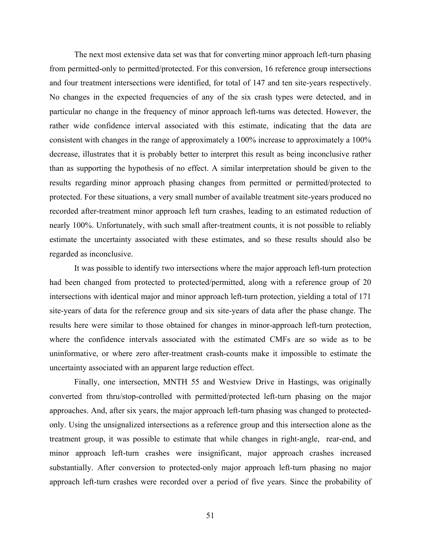The next most extensive data set was that for converting minor approach left-turn phasing from permitted-only to permitted/protected. For this conversion, 16 reference group intersections and four treatment intersections were identified, for total of 147 and ten site-years respectively. No changes in the expected frequencies of any of the six crash types were detected, and in particular no change in the frequency of minor approach left-turns was detected. However, the rather wide confidence interval associated with this estimate, indicating that the data are consistent with changes in the range of approximately a 100% increase to approximately a 100% decrease, illustrates that it is probably better to interpret this result as being inconclusive rather than as supporting the hypothesis of no effect. A similar interpretation should be given to the results regarding minor approach phasing changes from permitted or permitted/protected to protected. For these situations, a very small number of available treatment site-years produced no recorded after-treatment minor approach left turn crashes, leading to an estimated reduction of nearly 100%. Unfortunately, with such small after-treatment counts, it is not possible to reliably estimate the uncertainty associated with these estimates, and so these results should also be regarded as inconclusive.

 It was possible to identify two intersections where the major approach left-turn protection had been changed from protected to protected/permitted, along with a reference group of 20 intersections with identical major and minor approach left-turn protection, yielding a total of 171 site-years of data for the reference group and six site-years of data after the phase change. The results here were similar to those obtained for changes in minor-approach left-turn protection, where the confidence intervals associated with the estimated CMFs are so wide as to be uninformative, or where zero after-treatment crash-counts make it impossible to estimate the uncertainty associated with an apparent large reduction effect.

 Finally, one intersection, MNTH 55 and Westview Drive in Hastings, was originally converted from thru/stop-controlled with permitted/protected left-turn phasing on the major approaches. And, after six years, the major approach left-turn phasing was changed to protectedonly. Using the unsignalized intersections as a reference group and this intersection alone as the treatment group, it was possible to estimate that while changes in right-angle, rear-end, and minor approach left-turn crashes were insignificant, major approach crashes increased substantially. After conversion to protected-only major approach left-turn phasing no major approach left-turn crashes were recorded over a period of five years. Since the probability of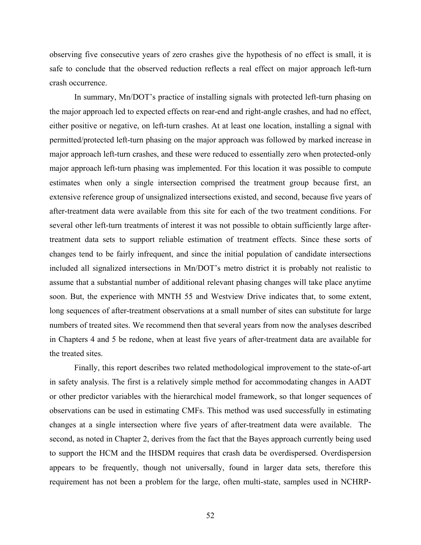observing five consecutive years of zero crashes give the hypothesis of no effect is small, it is safe to conclude that the observed reduction reflects a real effect on major approach left-turn crash occurrence.

 In summary, Mn/DOT's practice of installing signals with protected left-turn phasing on the major approach led to expected effects on rear-end and right-angle crashes, and had no effect, either positive or negative, on left-turn crashes. At at least one location, installing a signal with permitted/protected left-turn phasing on the major approach was followed by marked increase in major approach left-turn crashes, and these were reduced to essentially zero when protected-only major approach left-turn phasing was implemented. For this location it was possible to compute estimates when only a single intersection comprised the treatment group because first, an extensive reference group of unsignalized intersections existed, and second, because five years of after-treatment data were available from this site for each of the two treatment conditions. For several other left-turn treatments of interest it was not possible to obtain sufficiently large aftertreatment data sets to support reliable estimation of treatment effects. Since these sorts of changes tend to be fairly infrequent, and since the initial population of candidate intersections included all signalized intersections in Mn/DOT's metro district it is probably not realistic to assume that a substantial number of additional relevant phasing changes will take place anytime soon. But, the experience with MNTH 55 and Westview Drive indicates that, to some extent, long sequences of after-treatment observations at a small number of sites can substitute for large numbers of treated sites. We recommend then that several years from now the analyses described in Chapters 4 and 5 be redone, when at least five years of after-treatment data are available for the treated sites.

 Finally, this report describes two related methodological improvement to the state-of-art in safety analysis. The first is a relatively simple method for accommodating changes in AADT or other predictor variables with the hierarchical model framework, so that longer sequences of observations can be used in estimating CMFs. This method was used successfully in estimating changes at a single intersection where five years of after-treatment data were available. The second, as noted in Chapter 2, derives from the fact that the Bayes approach currently being used to support the HCM and the IHSDM requires that crash data be overdispersed. Overdispersion appears to be frequently, though not universally, found in larger data sets, therefore this requirement has not been a problem for the large, often multi-state, samples used in NCHRP-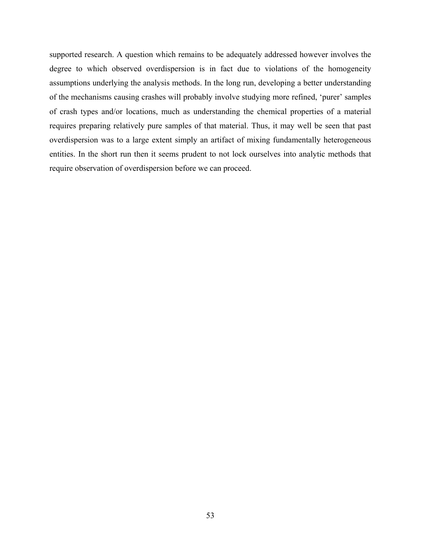supported research. A question which remains to be adequately addressed however involves the degree to which observed overdispersion is in fact due to violations of the homogeneity assumptions underlying the analysis methods. In the long run, developing a better understanding of the mechanisms causing crashes will probably involve studying more refined, 'purer' samples of crash types and/or locations, much as understanding the chemical properties of a material requires preparing relatively pure samples of that material. Thus, it may well be seen that past overdispersion was to a large extent simply an artifact of mixing fundamentally heterogeneous entities. In the short run then it seems prudent to not lock ourselves into analytic methods that require observation of overdispersion before we can proceed.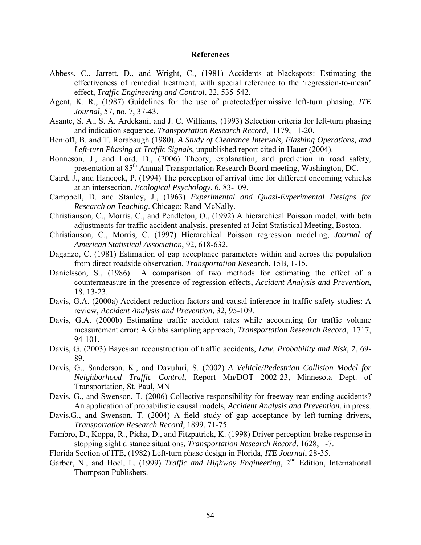#### **References**

- Abbess, C., Jarrett, D., and Wright, C., (1981) Accidents at blackspots: Estimating the effectiveness of remedial treatment, with special reference to the 'regression-to-mean' effect, *Traffic Engineering and Control*, 22, 535-542.
- Agent, K. R., (1987) Guidelines for the use of protected/permissive left-turn phasing, *ITE Journal*, 57, no. 7, 37-43.
- Asante, S. A., S. A. Ardekani, and J. C. Williams, (1993) Selection criteria for left-turn phasing and indication sequence, *Transportation Research Record*, 1179, 11-20.
- Benioff, B. and T. Rorabaugh (1980). *A Study of Clearance Intervals, Flashing Operations, and Left-turn Phasing at Traffic Signals*, unpublished report cited in Hauer (2004).
- Bonneson, J., and Lord, D., (2006) Theory, explanation, and prediction in road safety, presentation at 85th Annual Transportation Research Board meeting, Washington, DC.
- Caird, J., and Hancock, P. (1994) The perception of arrival time for different oncoming vehicles at an intersection, *Ecological Psychology*, 6, 83-109.
- Campbell, D. and Stanley, J., (1963) *Experimental and Quasi-Experimental Designs for Research on Teaching*. Chicago: Rand-McNally.
- Christianson, C., Morris, C., and Pendleton, O., (1992) A hierarchical Poisson model, with beta adjustments for traffic accident analysis, presented at Joint Statistical Meeting, Boston.
- Christianson, C., Morris, C. (1997) Hierarchical Poisson regression modeling, *Journal of American Statistical Association*, 92, 618-632.
- Daganzo, C. (1981) Estimation of gap acceptance parameters within and across the population from direct roadside observation, *Transportation Research*, 15B, 1-15.
- Danielsson, S., (1986) A comparison of two methods for estimating the effect of a countermeasure in the presence of regression effects, *Accident Analysis and Prevention*, 18, 13-23.
- Davis, G.A. (2000a) Accident reduction factors and causal inference in traffic safety studies: A review, *Accident Analysis and Prevention*, 32, 95-109.
- Davis, G.A. (2000b) Estimating traffic accident rates while accounting for traffic volume measurement error: A Gibbs sampling approach, *Transportation Research Record*, 1717, 94-101.
- Davis, G. (2003) Bayesian reconstruction of traffic accidents, *Law, Probability and Risk*, 2, 69- 89.
- Davis, G., Sanderson, K., and Davuluri, S. (2002) *A Vehicle/Pedestrian Collision Model for Neighborhood Traffic Control*, Report Mn/DOT 2002-23, Minnesota Dept. of Transportation, St. Paul, MN
- Davis, G., and Swenson, T. (2006) Collective responsibility for freeway rear-ending accidents? An application of probabilistic causal models, *Accident Analysis and Prevention*, in press.
- Davis, G., and Swenson, T. (2004) A field study of gap acceptance by left-turning drivers, *Transportation Research Record*, 1899, 71-75.
- Fambro, D., Koppa, R., Picha, D., and Fitzpatrick, K. (1998) Driver perception-brake response in stopping sight distance situations*, Transportation Research Record*, 1628, 1-7.
- Florida Section of ITE, (1982) Left-turn phase design in Florida, *ITE Journal*, 28-35.
- Garber, N., and Hoel, L. (1999) *Traffic and Highway Engineering*, 2<sup>nd</sup> Edition, International Thompson Publishers.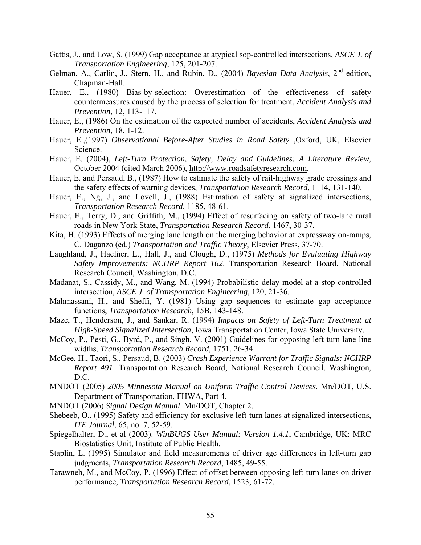- Gattis, J., and Low, S. (1999) Gap acceptance at atypical sop-controlled intersections, *ASCE J. of Transportation Engineering*, 125, 201-207.
- Gelman, A., Carlin, J., Stern, H., and Rubin, D., (2004) *Bayesian Data Analysis*, 2<sup>nd</sup> edition, Chapman-Hall.
- Hauer, E., (1980) Bias-by-selection: Overestimation of the effectiveness of safety countermeasures caused by the process of selection for treatment, *Accident Analysis and Prevention*, 12, 113-117.
- Hauer, E., (1986) On the estimation of the expected number of accidents, *Accident Analysis and Prevention*, 18, 1-12.
- Hauer, E.,(1997) *Observational Before-After Studies in Road Safety* ,Oxford, UK, Elsevier Science.
- Hauer, E. (2004), *Left-Turn Protection, Safety, Delay and Guidelines: A Literature Review*, October 2004 (cited March 2006), [http://www.roadsafetyresearch.com.](http://www.roadsafetyresearch.com/)
- Hauer, E. and Persaud, B., (1987) How to estimate the safety of rail-highway grade crossings and the safety effects of warning devices, *Transportation Research Record*, 1114, 131-140.
- Hauer, E., Ng, J., and Lovell, J., (1988) Estimation of safety at signalized intersections, *Transportation Research Record*, 1185, 48-61.
- Hauer, E., Terry, D., and Griffith, M., (1994) Effect of resurfacing on safety of two-lane rural roads in New York State, *Transportation Research Record*, 1467, 30-37.
- Kita, H. (1993) Effects of merging lane length on the merging behavior at expressway on-ramps, C. Daganzo (ed.) *Transportation and Traffic Theory*, Elsevier Press, 37-70.
- Laughland, J., Haefner, L., Hall, J., and Clough, D., (1975) *Methods for Evaluating Highway Safety Improvements: NCHRP Report 162*. Transportation Research Board, National Research Council, Washington, D.C.
- Madanat, S., Cassidy, M., and Wang, M. (1994) Probabilistic delay model at a stop-controlled intersection, *ASCE J. of Transportation Engineering*, 120, 21-36.
- Mahmassani, H., and Sheffi, Y. (1981) Using gap sequences to estimate gap acceptance functions, *Transportation Research*, 15B, 143-148.
- Maze, T., Henderson, J., and Sankar, R. (1994) *Impacts on Safety of Left-Turn Treatment at High-Speed Signalized Intersection*, Iowa Transportation Center, Iowa State University.
- McCoy, P., Pesti, G., Byrd, P., and Singh, V. (2001) Guidelines for opposing left-turn lane-line widths, *Transportation Research Record*, 1751, 26-34.
- McGee, H., Taori, S., Persaud, B. (2003) *Crash Experience Warrant for Traffic Signals: NCHRP Report 491*. Transportation Research Board, National Research Council, Washington, D.C.
- MNDOT (2005) *2005 Minnesota Manual on Uniform Traffic Control Devices*. Mn/DOT, U.S. Department of Transportation, FHWA, Part 4.
- MNDOT (2006) *Signal Design Manual*. Mn/DOT, Chapter 2.
- Shebeeb, O., (1995) Safety and efficiency for exclusive left-turn lanes at signalized intersections, *ITE Journal*, 65, no. 7, 52-59.
- Spiegelhalter, D., et al (2003). *WinBUGS User Manual: Version 1.4.1*, Cambridge, UK: MRC Biostatistics Unit, Institute of Public Health.
- Staplin, L. (1995) Simulator and field measurements of driver age differences in left-turn gap judgments, *Transportation Research Record*, 1485, 49-55.
- Tarawneh, M., and McCoy, P. (1996) Effect of offset between opposing left-turn lanes on driver performance, *Transportation Research Record*, 1523, 61-72.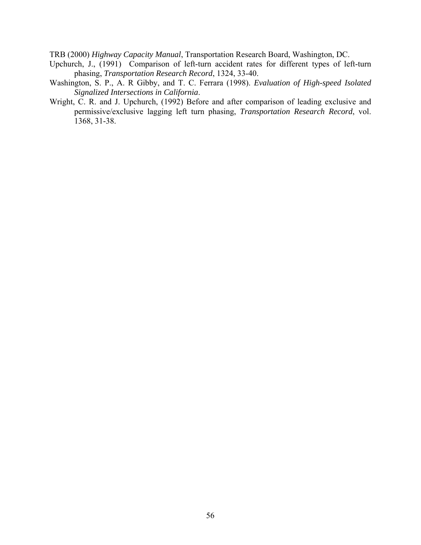TRB (2000) *Highway Capacity Manual*, Transportation Research Board, Washington, DC.

- Upchurch, J., (1991) Comparison of left-turn accident rates for different types of left-turn phasing, *Transportation Research Record*, 1324, 33-40.
- Washington, S. P., A. R Gibby, and T. C. Ferrara (1998). *Evaluation of High-speed Isolated Signalized Intersections in California*.
- Wright, C. R. and J. Upchurch, (1992) Before and after comparison of leading exclusive and permissive/exclusive lagging left turn phasing, *Transportation Research Record*, vol. 1368, 31-38.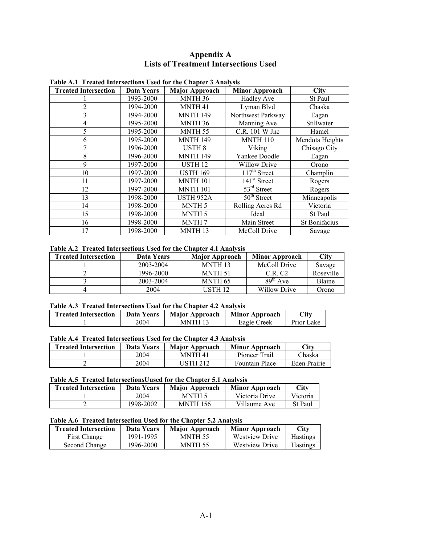#### **Appendix A Lists of Treatment Intersections Used**

| <b>Treated Intersection</b> | Data Years | <b>Major Approach</b> | <b>Minor Approach</b>                 | <b>City</b>     |
|-----------------------------|------------|-----------------------|---------------------------------------|-----------------|
|                             | 1993-2000  | MNTH <sub>36</sub>    | <b>Hadley Ave</b>                     | St Paul         |
| $\overline{2}$              | 1994-2000  | MNTH <sub>41</sub>    | Lyman Blvd                            | Chaska          |
| 3                           | 1994-2000  | <b>MNTH 149</b>       | Northwest Parkway                     | Eagan           |
| 4                           | 1995-2000  | MNTH <sub>36</sub>    | Manning Ave                           | Stillwater      |
| 5                           | 1995-2000  | MNTH <sub>55</sub>    | C.R. 101 W Jnc                        | Hamel           |
| 6                           | 1995-2000  | <b>MNTH 149</b>       | <b>MNTH 110</b>                       | Mendota Heights |
| 7                           | 1996-2000  | USTH <sub>8</sub>     | Viking                                | Chisago City    |
| 8                           | 1996-2000  | <b>MNTH 149</b>       | Yankee Doodle                         | Eagan           |
| 9                           | 1997-2000  | USTH <sub>12</sub>    | <b>Willow Drive</b>                   | Orono           |
| 10                          | 1997-2000  | <b>USTH 169</b>       | $\overline{117}$ <sup>th</sup> Street | Champlin        |
| 11                          | 1997-2000  | <b>MNTH 101</b>       | $141st$ Street                        | Rogers          |
| 12                          | 1997-2000  | <b>MNTH 101</b>       | $53rd$ Street                         | Rogers          |
| 13                          | 1998-2000  | <b>USTH 952A</b>      | $50th$ Street                         | Minneapolis     |
| 14                          | 1998-2000  | MNTH <sub>5</sub>     | Rolling Acres Rd                      | Victoria        |
| 15                          | 1998-2000  | MNTH <sub>5</sub>     | Ideal                                 | St Paul         |
| 16                          | 1998-2000  | <b>MNTH7</b>          | Main Street                           | St Bonifacius   |
| 17                          | 1998-2000  | MNTH <sub>13</sub>    | McColl Drive                          | Savage          |

#### **Table A.1 Treated Intersections Used for the Chapter 3 Analysis**

#### **Table A.2 Treated Intersections Used for the Chapter 4.1 Analysis**

| <b>Treated Intersection</b> | Data Years | <b>Major Approach</b> | <b>Minor Approach</b> | City      |
|-----------------------------|------------|-----------------------|-----------------------|-----------|
|                             | 2003-2004  | MNTH <sub>13</sub>    | McColl Drive          | Savage    |
|                             | 1996-2000  | MNTH 51               | C.R.C2                | Roseville |
|                             | 2003-2004  | MNTH 65               | $89th$ Ave            | Blaine    |
|                             | 2004       | USTH 12               | Willow Drive          | Orono     |

#### **Table A.3 Treated Intersections Used for the Chapter 4.2 Analysis**

| <b>Treated Intersection</b> | Data Years | <b>Maior Approach</b> | <b>Minor Approach</b> | $\mathrm{Citv}$ |
|-----------------------------|------------|-----------------------|-----------------------|-----------------|
|                             | 2004       | MNTH 13               | Eagle Creek           | Prior Lake      |

#### **Table A.4 Treated Intersections Used for the Chapter 4.3 Analysis**

| <b>Treated Intersection</b> | Data Years | <b>Major Approach</b> | <b>Minor Approach</b> | Citv         |
|-----------------------------|------------|-----------------------|-----------------------|--------------|
|                             | 2004       | <b>MNTH 41</b>        | Pioneer Trail         | Chaska       |
|                             | 2004       | USTH 212              | <b>Fountain Place</b> | Eden Prairie |

#### **Table A.5 Treated IntersectionsUused for the Chapter 5.1 Analysis**

| <b>Treated Intersection</b> | Data Years | <b>Major Approach</b> | <b>Minor Approach</b> | City     |
|-----------------------------|------------|-----------------------|-----------------------|----------|
|                             | 2004       | MNTH 5                | Victoria Drive        | Victoria |
|                             | 1998-2002  | <b>MNTH 156</b>       | Villaume Ave          | St Paul  |

#### **Table A.6 Treated Intersection Used for the Chapter 5.2 Analysis**

| <b>Treated Intersection</b> | Data Years | <b>Major Approach</b> | <b>Minor Approach</b> | City            |
|-----------------------------|------------|-----------------------|-----------------------|-----------------|
| First Change                | 1991-1995  | MNTH 55               | <b>Westview Drive</b> | <b>Hastings</b> |
| Second Change               | 1996-2000  | MNTH 55               | Westview Drive        | <b>Hastings</b> |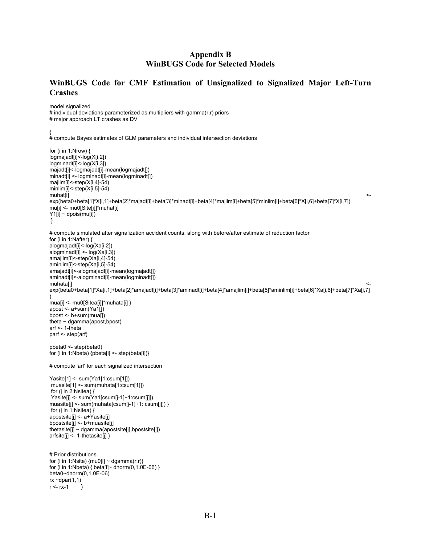#### **Appendix B WinBUGS Code for Selected Models**

#### **WinBUGS Code for CMF Estimation of Unsignalized to Signalized Major Left-Turn Crashes**

model signalized # individual deviations parameterized as multipliers with gamma( $r, r$ ) priors # major approach LT crashes as DV

{

```
# compute Bayes estimates of GLM parameters and individual intersection deviations 
for (i in 1:Nrow) { 
logmajadt[i]<-log(X[i,2]) 
logminadt[i]<-log(X[i,3]) 
majadt[i]<-logmajadt[i]-mean(logmajadt[]) 
minadt[i] <- logminadt[i]-mean(logminadt[]) 
majlim[i]<-step(X[i,4]-54) 
minlim[i]<-step(X[i,5]-54) 
\blacksquaremuhat[i] \hspace{1.5cm} \hspace{1.5cm} \hspace{1.5cm} \hspace{1.5cm} \hspace{1.5cm} \hspace{1.5cm} \hspace{1.5cm} \hspace{1.5cm} \hspace{1.5cm} \hspace{1.5cm} \hspace{1.5cm} \hspace{1.5cm} \hspace{1.5cm} \hspace{1.5cm} \hspace{1.5cm} \hspace{1.5cm} \hspace{1.5cm} \exp(beta0+beta[1]*X[i,1]+beta[2]*majadt[i]+beta[3]*minadt[i]+beta[4]*majlim[i]+beta[5]*minlim[i]+beta[6]*X[i,6]+beta[7]*X[i,7])
mu[i] <- mu0[Site[i]]*muhat[i] 
Y1[i] \sim dpois(mu[i])
 } 
# compute simulated after signalization accident counts, along with before/after estimate of reduction factor 
for (i in 1:Nafter) { 
alogmajadt[i]<-log(Xa[i,2]) 
alogminadt[i] <- log(Xa[i,3]) 
amajlim[i]<-step(Xa[i,4]-54)
aminlim[i]<-step(Xa[i,5]-54) 
amajadt[i]<-alogmajadt[i]-mean(logmajadt[]) 
aminadt[i]<-alogminadt[i]-mean(logminadt[]) 
muhata[i] <- 
exp(beta0+beta[1]*Xa[i,1]+beta[2]*amajadt[i]+beta[3]*aminadt[i]+beta[4]*amajlim[i]+beta[5]*aminlim[i]+beta[6]*Xa[i,6]+beta[7]*Xa[i,7]
) 
mua[i] <- mu0[Sitea[i]]*muhata[i] } 
apost <- a+sum(Ya1[]) 
bpost < -b+sum(mua))theta ~ dgamma(apost,bpost) 
arf <- 1-theta 
parf <- step(arf) 
pbeta0 <- step(beta0) 
for (i in 1:Nbeta) {pbeta[i] <- step(beta[i])} 
# compute 'arf' for each signalized intersection 
Yasite[1] <- sum(Ya1[1:csum[1]]) 
 muasite[1] <- sum(muhata[1:csum[1]]) 
 for (j in 2:Nsitea) { 
 Yasite[j] <- sum(Ya1[csum[j-1]+1:csum[j]]) 
muasite[j] <- sum(muhata[csum[j-1]+1: csum[j]]) } 
 for (j in 1:Nsitea) { 
apostsite[j] <- a+Yasite[j] 
bpostsite[j] <- b+muasite[j] 
thetasite[j] ~ dgamma(apostsite[j],bpostsite[j]) 
arfsite[j] <- 1-thetasite[j] } 
# Prior distributions 
for (i in 1:Nsite) {mu0[i] \sim dgamma(r,r)}for (i in 1:Nbeta) { beta[i]~ dnorm(0,1.0E-06) }
beta0~dnorm(0,1.0E-06) 
rx \sim dpar(1,1)r < rx-1 }
```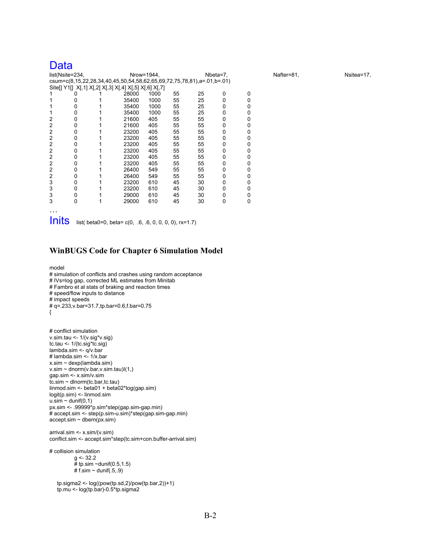### Data

| list(Nsite=234, |   |  | Nrow=1944,                                                             |      |    | Nbeta=7, |   |   | Nafter=81, | Nsitea=17, |
|-----------------|---|--|------------------------------------------------------------------------|------|----|----------|---|---|------------|------------|
|                 |   |  | csum=c(8,15,22,28,34,40,45,50,54,58,62,65,69,72,75,78,81),a=.01,b=.01) |      |    |          |   |   |            |            |
|                 |   |  | Site[] Y1[] X[,1] X[,2] X[,3] X[,4] X[,5] X[,6] X[,7]                  |      |    |          |   |   |            |            |
|                 |   |  | 28000                                                                  | 1000 | 55 | 25       | 0 | 0 |            |            |
|                 |   |  | 35400                                                                  | 1000 | 55 | 25       | 0 |   |            |            |
|                 |   |  | 35400                                                                  | 1000 | 55 | 25       | 0 |   |            |            |
|                 |   |  | 35400                                                                  | 1000 | 55 | 25       | 0 |   |            |            |
| 2               | O |  | 21600                                                                  | 405  | 55 | 55       | 0 |   |            |            |
| 2               |   |  | 21600                                                                  | 405  | 55 | 55       | 0 |   |            |            |
| 2               |   |  | 23200                                                                  | 405  | 55 | 55       | 0 |   |            |            |
| 2               |   |  | 23200                                                                  | 405  | 55 | 55       | 0 |   |            |            |
| 2               |   |  | 23200                                                                  | 405  | 55 | 55       | 0 |   |            |            |
| 2               | O |  | 23200                                                                  | 405  | 55 | 55       | 0 |   |            |            |
|                 |   |  | 23200                                                                  | 405  | 55 | 55       | 0 |   |            |            |
| 2               |   |  | 23200                                                                  | 405  | 55 | 55       | 0 |   |            |            |
| 2               | o |  | 26400                                                                  | 549  | 55 | 55       | 0 |   |            |            |
| 2               |   |  | 26400                                                                  | 549  | 55 | 55       | 0 |   |            |            |
| 3               | O |  | 23200                                                                  | 610  | 45 | 30       | 0 |   |            |            |
| 3               | ი |  | 23200                                                                  | 610  | 45 | 30       | 0 |   |            |            |
| 3               |   |  | 29000                                                                  | 610  | 45 | 30       | 0 |   |            |            |
| 3               | 0 |  | 29000                                                                  | 610  | 45 | 30       | 0 | 0 |            |            |
|                 |   |  |                                                                        |      |    |          |   |   |            |            |

 $Inits$  list( beta0=0, beta= c(0, .6, .6, 0, 0, 0, 0), rx=1.7)

#### **WinBUGS Code for Chapter 6 Simulation Model**

```
model 
# simulation of conflicts and crashes using random acceptance 
# IVs=log gap, corrected ML estimates from Minitab 
# Fambro et al stats of braking and reaction times 
# speed/flow inputs to distance 
# impact speeds 
# q=.233,v.bar=31.7,tp.bar=0.6,f.bar=0.75 
{
```

```
# conflict simulation 
v.sim.tau <- 1/(v.sig*v.sig) 
tc.tau <- 1/(tc.sig*tc.sig) 
lambda.sim <- q/v.bar 
# lambda.sim <- 1/x.bar 
x.sim ~ dexp(lambda.sim) 
v.\sin \sim \text{dnorm}(v.\tan v.\sin \tan \tan)(1)gap.sim <- x.sim/v.sim 
tc.sim ~ dlnorm(tc.bar,tc.tau) 
linmod.sim <- beta01 + beta02*log(gap.sim) 
logit(p.sim) <- linmod.sim 
u.\overrightarrow{sim} \sim dunif(0,1)
px.sim <- .99999*p.sim*step(gap.sim-gap.min) 
# accept.sim <- step(p.sim-u.sim)*step(gap.sim-gap.min) 
accept \text{.sim} \sim dbern(px \text{.sim})
```

```
arrival.sim <- x.sim/(v.sim) 
conflict.sim <- accept.sim*step(tc.sim+con.buffer-arrival.sim)
```
# collision simulation  $g$  <- 32.2  $#$  tp.sim ~dunif(0.5,1.5) # f.sim  $\sim$  dunif(.5,.9)

 tp.sigma2 <- log((pow(tp.sd,2)/pow(tp.bar,2))+1) tp.mu <- log(tp.bar)-0.5\*tp.sigma2